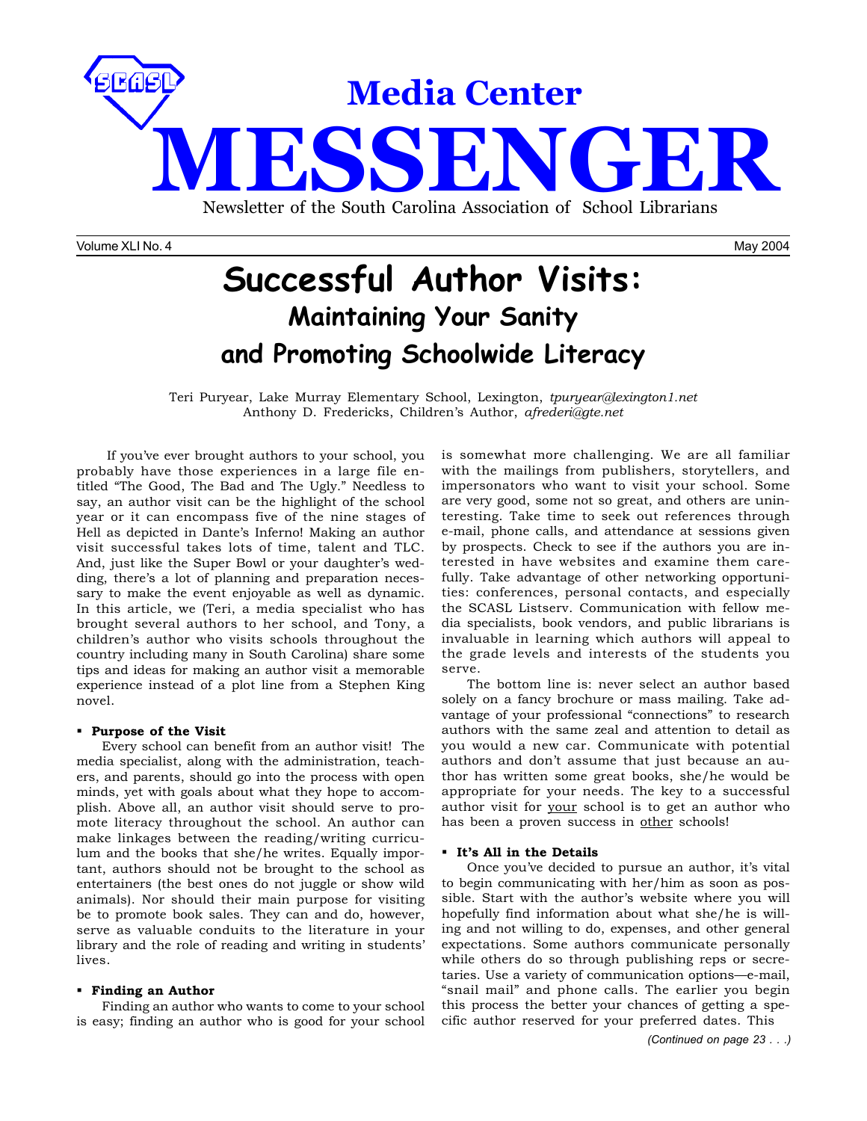

Volume XLI No. 4 May 2004

# **Successful Author Visits: Maintaining Your Sanity and Promoting Schoolwide Literacy**

Teri Puryear, Lake Murray Elementary School, Lexington, *tpuryear@lexington1.net* Anthony D. Fredericks, Children's Author, *afrederi@gte.net*

 If you've ever brought authors to your school, you probably have those experiences in a large file entitled "The Good, The Bad and The Ugly." Needless to say, an author visit can be the highlight of the school year or it can encompass five of the nine stages of Hell as depicted in Dante's Inferno! Making an author visit successful takes lots of time, talent and TLC. And, just like the Super Bowl or your daughter's wedding, there's a lot of planning and preparation necessary to make the event enjoyable as well as dynamic. In this article, we (Teri, a media specialist who has brought several authors to her school, and Tony, a children's author who visits schools throughout the country including many in South Carolina) share some tips and ideas for making an author visit a memorable experience instead of a plot line from a Stephen King novel.

### **Purpose of the Visit**

Every school can benefit from an author visit! The media specialist, along with the administration, teachers, and parents, should go into the process with open minds, yet with goals about what they hope to accomplish. Above all, an author visit should serve to promote literacy throughout the school. An author can make linkages between the reading/writing curriculum and the books that she/he writes. Equally important, authors should not be brought to the school as entertainers (the best ones do not juggle or show wild animals). Nor should their main purpose for visiting be to promote book sales. They can and do, however, serve as valuable conduits to the literature in your library and the role of reading and writing in students' lives.

#### **Finding an Author**

Finding an author who wants to come to your school is easy; finding an author who is good for your school

is somewhat more challenging. We are all familiar with the mailings from publishers, storytellers, and impersonators who want to visit your school. Some are very good, some not so great, and others are uninteresting. Take time to seek out references through e-mail, phone calls, and attendance at sessions given by prospects. Check to see if the authors you are interested in have websites and examine them carefully. Take advantage of other networking opportunities: conferences, personal contacts, and especially the SCASL Listserv. Communication with fellow media specialists, book vendors, and public librarians is invaluable in learning which authors will appeal to the grade levels and interests of the students you serve.

The bottom line is: never select an author based solely on a fancy brochure or mass mailing. Take advantage of your professional "connections" to research authors with the same zeal and attention to detail as you would a new car. Communicate with potential authors and don't assume that just because an author has written some great books, she/he would be appropriate for your needs. The key to a successful author visit for your school is to get an author who has been a proven success in other schools!

### **It's All in the Details**

Once you've decided to pursue an author, it's vital to begin communicating with her/him as soon as possible. Start with the author's website where you will hopefully find information about what she/he is willing and not willing to do, expenses, and other general expectations. Some authors communicate personally while others do so through publishing reps or secretaries. Use a variety of communication options—e-mail, "snail mail" and phone calls. The earlier you begin this process the better your chances of getting a specific author reserved for your preferred dates. This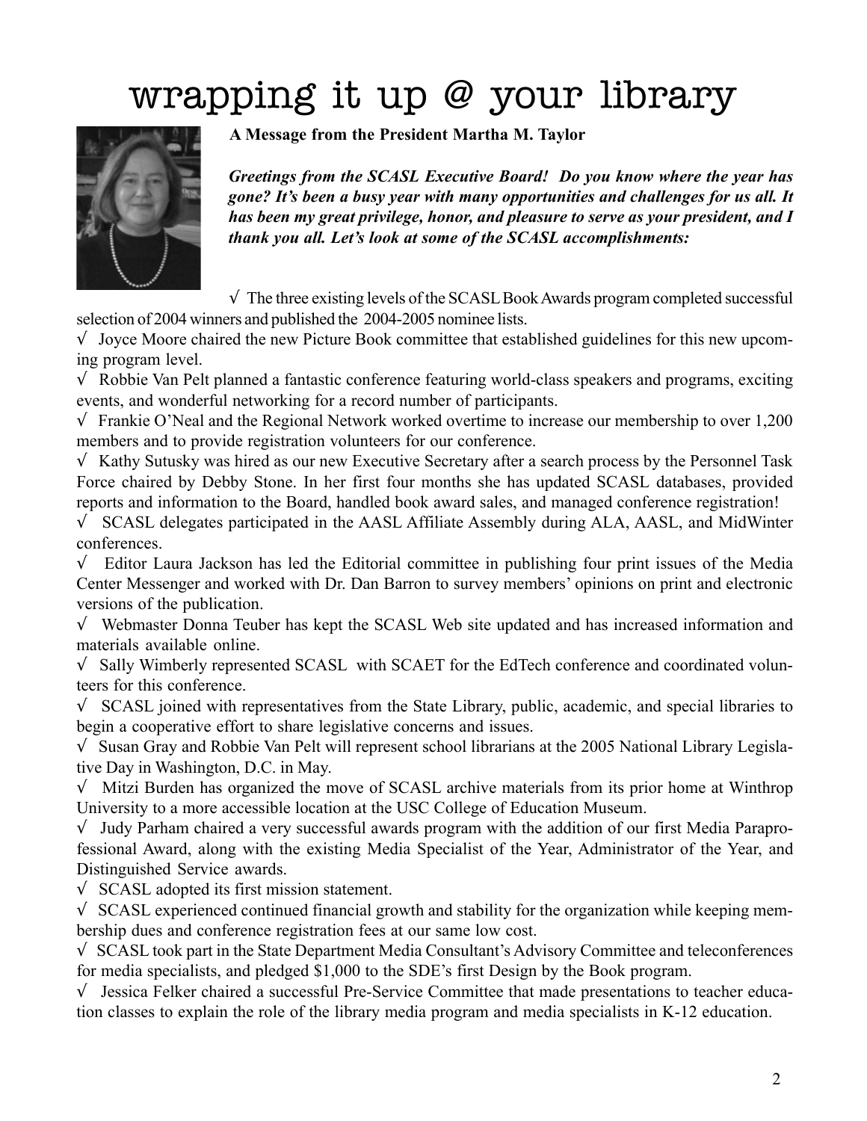# wrapping it up @ your library



**A Message from the President Martha M. Taylor**

*Greetings from the SCASL Executive Board! Do you know where the year has gone? It's been a busy year with many opportunities and challenges for us all. It has been my great privilege, honor, and pleasure to serve as your president, and I thank you all. Let's look at some of the SCASL accomplishments:*

 $\sqrt{\ }$  The three existing levels of the SCASL Book Awards program completed successful selection of 2004 winners and published the 2004-2005 nominee lists.

 $\sqrt{\phantom{a}}$  Joyce Moore chaired the new Picture Book committee that established guidelines for this new upcoming program level.

√ Robbie Van Pelt planned a fantastic conference featuring world-class speakers and programs, exciting events, and wonderful networking for a record number of participants.

√ Frankie O'Neal and the Regional Network worked overtime to increase our membership to over 1,200 members and to provide registration volunteers for our conference.

√ Kathy Sutusky was hired as our new Executive Secretary after a search process by the Personnel Task Force chaired by Debby Stone. In her first four months she has updated SCASL databases, provided reports and information to the Board, handled book award sales, and managed conference registration!

√ SCASL delegates participated in the AASL Affiliate Assembly during ALA, AASL, and MidWinter conferences.

 $\sqrt{\phantom{a}}$  Editor Laura Jackson has led the Editorial committee in publishing four print issues of the Media Center Messenger and worked with Dr. Dan Barron to survey members' opinions on print and electronic versions of the publication.

√ Webmaster Donna Teuber has kept the SCASL Web site updated and has increased information and materials available online.

√ Sally Wimberly represented SCASL with SCAET for the EdTech conference and coordinated volunteers for this conference.

√ SCASL joined with representatives from the State Library, public, academic, and special libraries to begin a cooperative effort to share legislative concerns and issues.

√ Susan Gray and Robbie Van Pelt will represent school librarians at the 2005 National Library Legislative Day in Washington, D.C. in May.

 $\sqrt{\frac{1}{\sqrt{1}}}$  Mitzi Burden has organized the move of SCASL archive materials from its prior home at Winthrop University to a more accessible location at the USC College of Education Museum.

√ Judy Parham chaired a very successful awards program with the addition of our first Media Paraprofessional Award, along with the existing Media Specialist of the Year, Administrator of the Year, and Distinguished Service awards.

√ SCASL adopted its first mission statement.

 $\sqrt{\ }$  SCASL experienced continued financial growth and stability for the organization while keeping membership dues and conference registration fees at our same low cost.

√ SCASL took part in the State Department Media Consultant's Advisory Committee and teleconferences for media specialists, and pledged \$1,000 to the SDE's first Design by the Book program.

√ Jessica Felker chaired a successful Pre-Service Committee that made presentations to teacher education classes to explain the role of the library media program and media specialists in K-12 education.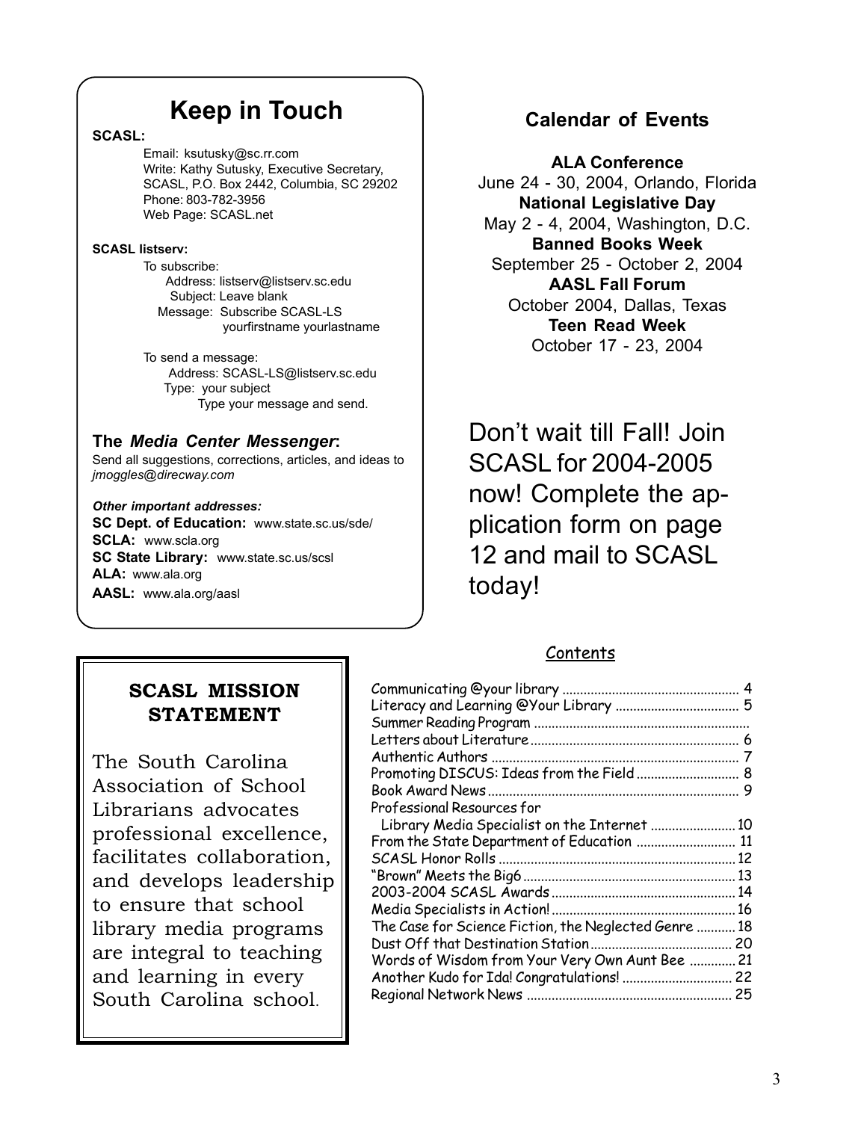# **Keep in Touch**

### **SCASL:**

Email: ksutusky@sc.rr.com Write: Kathy Sutusky, Executive Secretary, SCASL, P.O. Box 2442, Columbia, SC 29202 Phone: 803-782-3956 Web Page: SCASL.net

### **SCASL listserv:**

To subscribe: Address: listserv@listserv.sc.edu Subject: Leave blank Message: Subscribe SCASL-LS yourfirstname yourlastname

To send a message: Address: SCASL-LS@listserv.sc.edu Type: your subject Type your message and send.

### **The** *Media Center Messenger***:**

Send all suggestions, corrections, articles, and ideas to *jmoggles@direcway.com*

*Other important addresses:* **SC Dept. of Education:** www.state.sc.us/sde/ **SCLA:** www.scla.org **SC State Library:** www.state.sc.us/scsl **ALA:** www.ala.org **AASL:** www.ala.org/aasl

### **Calendar of Events**

**ALA Conference** June 24 - 30, 2004, Orlando, Florida **National Legislative Day** May 2 - 4, 2004, Washington, D.C. **Banned Books Week** September 25 - October 2, 2004 **AASL Fall Forum** October 2004, Dallas, Texas **Teen Read Week** October 17 - 23, 2004

Don't wait till Fall! Join SCASL for 2004-2005 now! Complete the application form on page 12 and mail to SCASL today!

### **Contents**

| Promoting DISCUS: Ideas from the Field  8             |  |
|-------------------------------------------------------|--|
|                                                       |  |
| Professional Resources for                            |  |
| Library Media Specialist on the Internet  10          |  |
| From the State Department of Education  11            |  |
|                                                       |  |
|                                                       |  |
|                                                       |  |
|                                                       |  |
| The Case for Science Fiction, the Neglected Genre  18 |  |
|                                                       |  |
| Words of Wisdom from Your Very Own Aunt Bee  21       |  |
| Another Kudo for Ida! Congratulations!  22            |  |
|                                                       |  |
|                                                       |  |

### **SCASL MISSION STATEMENT**

The South Carolina Association of School Librarians advocates professional excellence, facilitates collaboration, and develops leadership to ensure that school library media programs are integral to teaching and learning in every South Carolina school.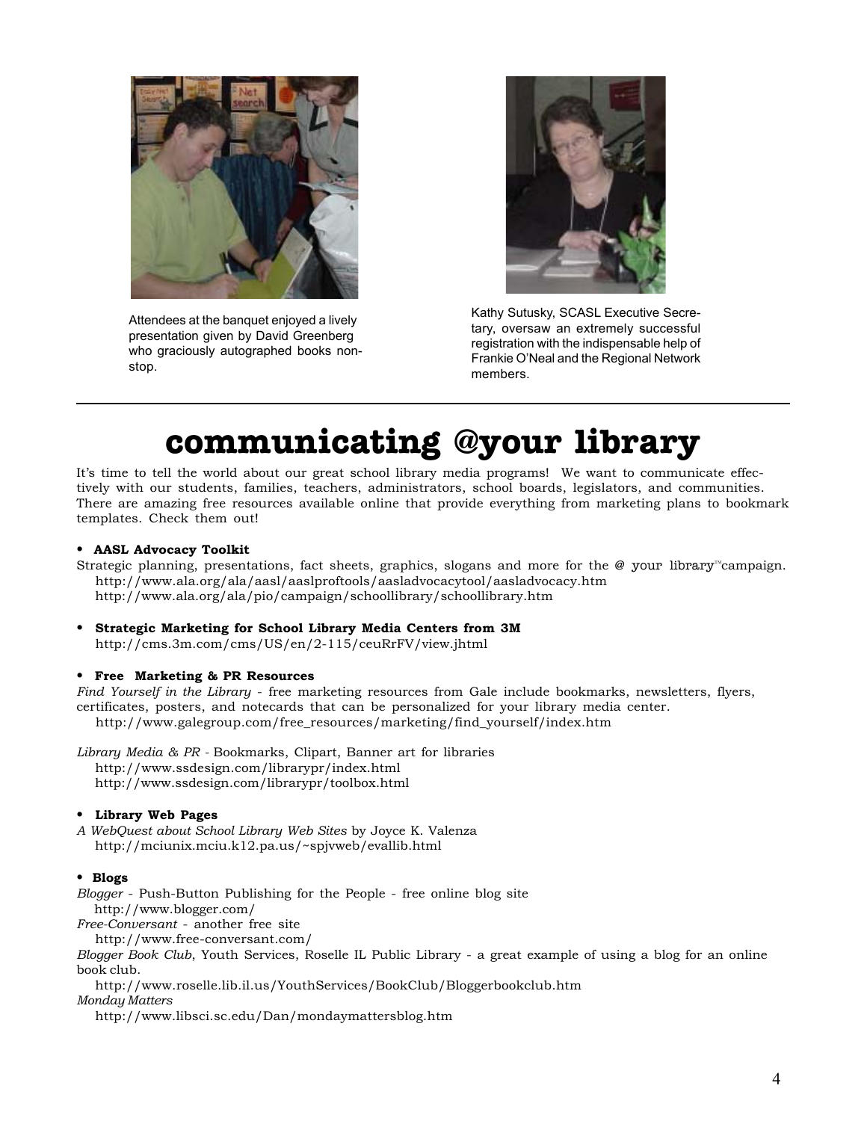

Attendees at the banquet enjoyed a lively presentation given by David Greenberg who graciously autographed books nonstop.



Kathy Sutusky, SCASL Executive Secretary, oversaw an extremely successful registration with the indispensable help of Frankie O'Neal and the Regional Network members.

# **communicating @your library**

It's time to tell the world about our great school library media programs! We want to communicate effectively with our students, families, teachers, administrators, school boards, legislators, and communities. There are amazing free resources available online that provide everything from marketing plans to bookmark templates. Check them out!

### **• AASL Advocacy Toolkit**

- Strategic planning, presentations, fact sheets, graphics, slogans and more for the @ your library™campaign. http://www.ala.org/ala/aasl/aaslproftools/aasladvocacytool/aasladvocacy.htm http://www.ala.org/ala/pio/campaign/schoollibrary/schoollibrary.htm
- **Strategic Marketing for School Library Media Centers from 3M** http://cms.3m.com/cms/US/en/2-115/ceuRrFV/view.jhtml

### **• Free Marketing & PR Resources**

*Find Yourself in the Library* - free marketing resources from Gale include bookmarks, newsletters, flyers, certificates, posters, and notecards that can be personalized for your library media center. http://www.galegroup.com/free\_resources/marketing/find\_yourself/index.htm

*Library Media & PR -* Bookmarks, Clipart, Banner art for libraries http://www.ssdesign.com/librarypr/index.html http://www.ssdesign.com/librarypr/toolbox.html

### **• Library Web Pages**

*A WebQuest about School Library Web Sites* by Joyce K. Valenza http://mciunix.mciu.k12.pa.us/~spjvweb/evallib.html

### **• Blogs**

*Blogger* - Push-Button Publishing for the People - free online blog site http://www.blogger.com/

*Free-Conversant* - another free site

http://www.free-conversant.com/

*Blogger Book Club*, Youth Services, Roselle IL Public Library - a great example of using a blog for an online book club.

http://www.roselle.lib.il.us/YouthServices/BookClub/Bloggerbookclub.htm

*Monday Matters*

http://www.libsci.sc.edu/Dan/mondaymattersblog.htm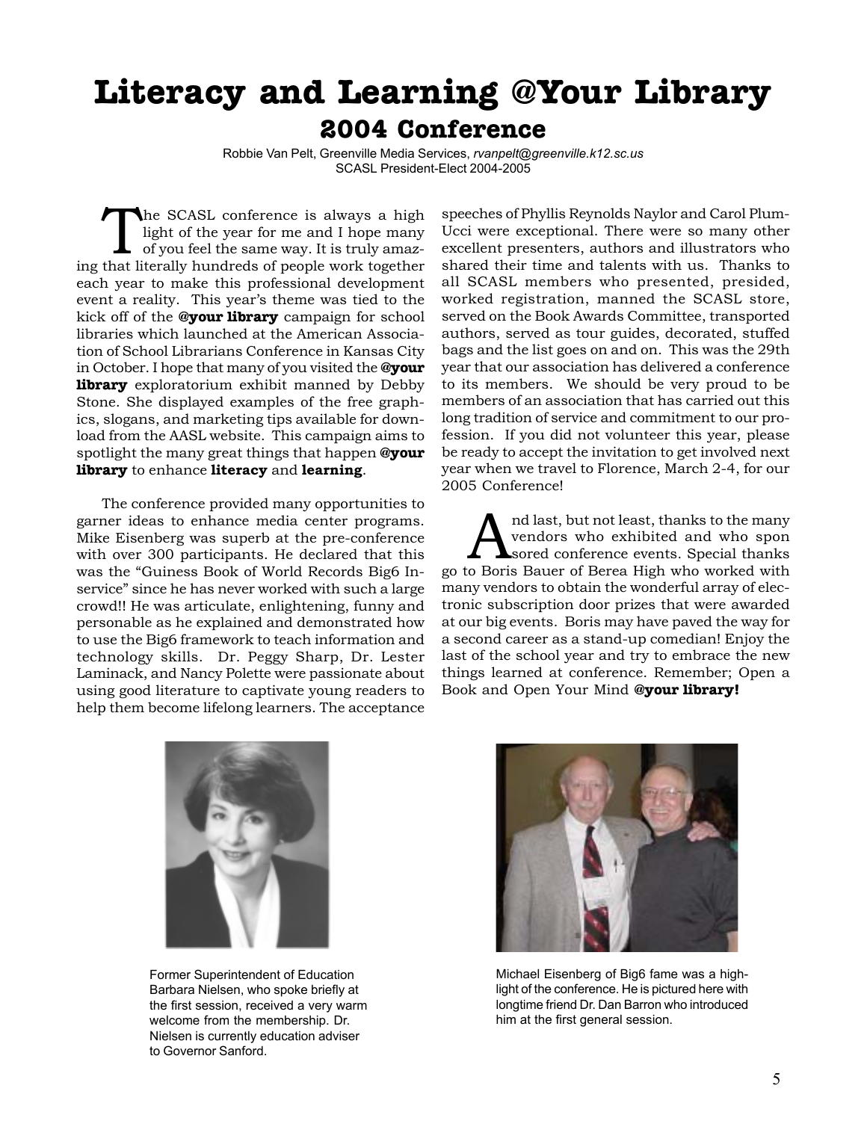# **Literacy and Learning @Your Library 2004 Conference**

Robbie Van Pelt, Greenville Media Services, *rvanpelt@greenville.k12.sc.us* SCASL President-Elect 2004-2005

The SCASL conference is always a high<br>light of the year for me and I hope many<br>of you feel the same way. It is truly amaz-<br>that literally hundreds of people work together light of the year for me and I hope many of you feel the same way. It is truly amazing that literally hundreds of people work together each year to make this professional development event a reality. This year's theme was tied to the kick off of the **@your library** campaign for school libraries which launched at the American Association of School Librarians Conference in Kansas City in October. I hope that many of you visited the **@your library** exploratorium exhibit manned by Debby Stone. She displayed examples of the free graphics, slogans, and marketing tips available for download from the AASL website. This campaign aims to spotlight the many great things that happen **@your library** to enhance **literacy** and **learning**.

The conference provided many opportunities to garner ideas to enhance media center programs. Mike Eisenberg was superb at the pre-conference with over 300 participants. He declared that this was the "Guiness Book of World Records Big6 Inservice" since he has never worked with such a large crowd!! He was articulate, enlightening, funny and personable as he explained and demonstrated how to use the Big6 framework to teach information and technology skills. Dr. Peggy Sharp, Dr. Lester Laminack, and Nancy Polette were passionate about using good literature to captivate young readers to help them become lifelong learners. The acceptance

speeches of Phyllis Reynolds Naylor and Carol Plum-Ucci were exceptional. There were so many other excellent presenters, authors and illustrators who shared their time and talents with us. Thanks to all SCASL members who presented, presided, worked registration, manned the SCASL store, served on the Book Awards Committee, transported authors, served as tour guides, decorated, stuffed bags and the list goes on and on. This was the 29th year that our association has delivered a conference to its members. We should be very proud to be members of an association that has carried out this long tradition of service and commitment to our profession. If you did not volunteer this year, please be ready to accept the invitation to get involved next year when we travel to Florence, March 2-4, for our 2005 Conference!

and last, but not least, thanks to the many<br>vendors who exhibited and who spon<br>sored conference events. Special thanks vendors who exhibited and who spon sored conference events. Special thanks go to Boris Bauer of Berea High who worked with many vendors to obtain the wonderful array of electronic subscription door prizes that were awarded at our big events. Boris may have paved the way for a second career as a stand-up comedian! Enjoy the last of the school year and try to embrace the new things learned at conference. Remember; Open a Book and Open Your Mind **@your library!**



Former Superintendent of Education Barbara Nielsen, who spoke briefly at the first session, received a very warm welcome from the membership. Dr. Nielsen is currently education adviser to Governor Sanford.



Michael Eisenberg of Big6 fame was a highlight of the conference. He is pictured here with longtime friend Dr. Dan Barron who introduced him at the first general session.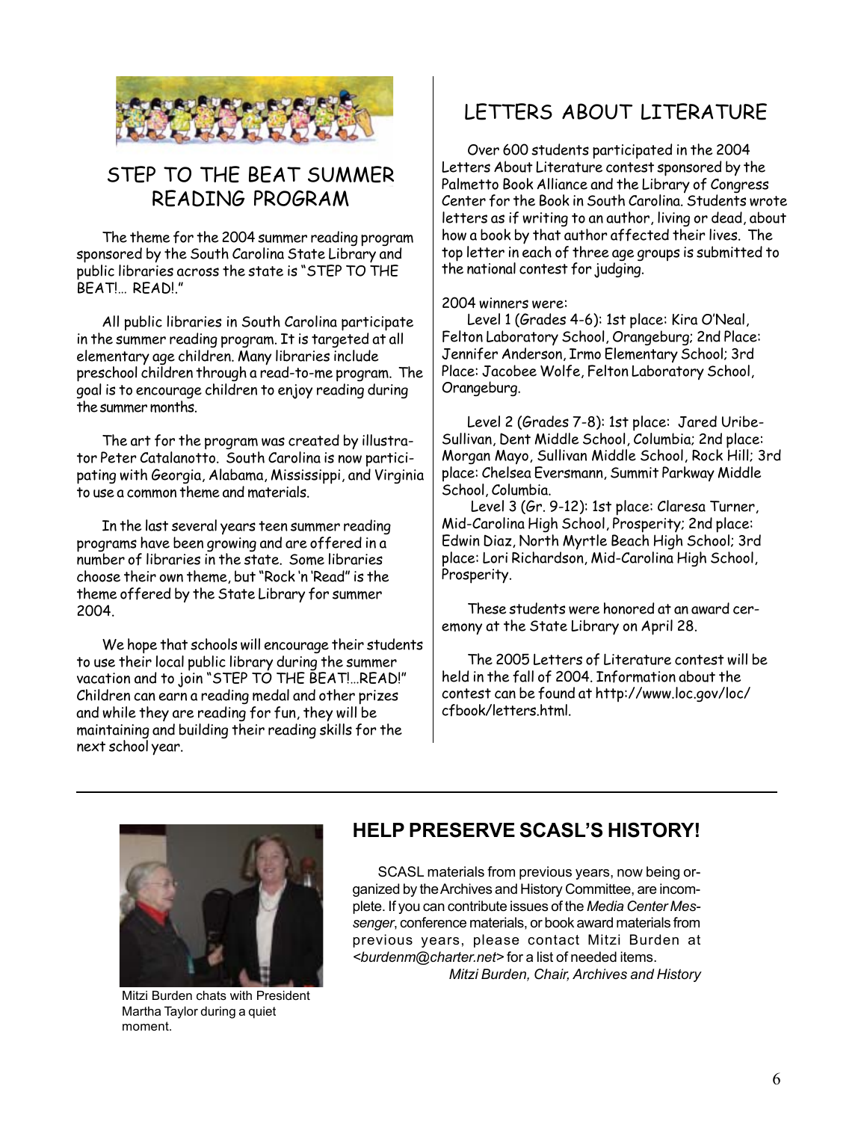

### STEP TO THE BEAT SUMMER READING PROGRAM

The theme for the 2004 summer reading program sponsored by the South Carolina State Library and public libraries across the state is "STEP TO THE BEAT!… READ!."

All public libraries in South Carolina participate in the summer reading program. It is targeted at all elementary age children. Many libraries include preschool children through a read-to-me program. The goal is to encourage children to enjoy reading during the summer months.

The art for the program was created by illustrator Peter Catalanotto. South Carolina is now participating with Georgia, Alabama, Mississippi, and Virginia to use a common theme and materials.

In the last several years teen summer reading programs have been growing and are offered in a number of libraries in the state. Some libraries choose their own theme, but "Rock 'n 'Read" is the theme offered by the State Library for summer 2004.

We hope that schools will encourage their students to use their local public library during the summer vacation and to join "STEP TO THE BEAT!…READ!" Children can earn a reading medal and other prizes and while they are reading for fun, they will be maintaining and building their reading skills for the next school year.

### LETTERS ABOUT LITERATURE

Over 600 students participated in the 2004 Letters About Literature contest sponsored by the Palmetto Book Alliance and the Library of Congress Center for the Book in South Carolina. Students wrote letters as if writing to an author, living or dead, about how a book by that author affected their lives. The top letter in each of three age groups is submitted to the national contest for judging.

2004 winners were:

Level 1 (Grades 4-6): 1st place: Kira O'Neal, Felton Laboratory School, Orangeburg; 2nd Place: Jennifer Anderson, Irmo Elementary School; 3rd Place: Jacobee Wolfe, Felton Laboratory School, Orangeburg.

Level 2 (Grades 7-8): 1st place: Jared Uribe-Sullivan, Dent Middle School, Columbia; 2nd place: Morgan Mayo, Sullivan Middle School, Rock Hill; 3rd place: Chelsea Eversmann, Summit Parkway Middle School, Columbia.

 Level 3 (Gr. 9-12): 1st place: Claresa Turner, Mid-Carolina High School, Prosperity; 2nd place: Edwin Diaz, North Myrtle Beach High School; 3rd place: Lori Richardson, Mid-Carolina High School, Prosperity.

These students were honored at an award ceremony at the State Library on April 28.

The 2005 Letters of Literature contest will be held in the fall of 2004. Information about the contest can be found at http://www.loc.gov/loc/ cfbook/letters.html.



Mitzi Burden chats with President Martha Taylor during a quiet moment.

### **HELP PRESERVE SCASL'S HISTORY!**

SCASL materials from previous years, now being organized by the Archives and History Committee, are incomplete. If you can contribute issues of the *Media Center Messenger*, conference materials, or book award materials from previous years, please contact Mitzi Burden at *<burdenm@charter.net>* for a list of needed items. *Mitzi Burden, Chair, Archives and History*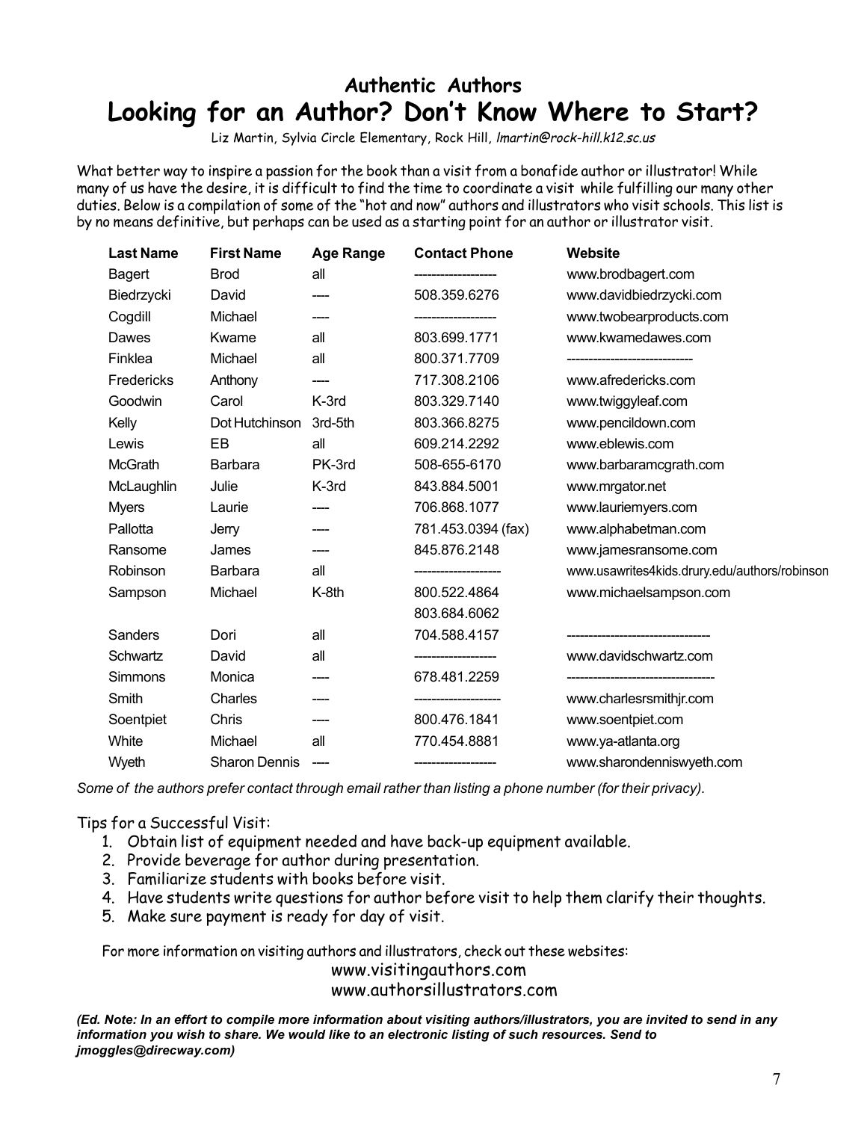# **Authentic Authors Looking for an Author? Don't Know Where to Start?**

Liz Martin, Sylvia Circle Elementary, Rock Hill, lmartin@rock-hill.k12.sc.us

What better way to inspire a passion for the book than a visit from a bonafide author or illustrator! While many of us have the desire, it is difficult to find the time to coordinate a visit while fulfilling our many other duties. Below is a compilation of some of the "hot and now" authors and illustrators who visit schools. This list is by no means definitive, but perhaps can be used as a starting point for an author or illustrator visit.

| <b>Last Name</b> | <b>First Name</b>    | <b>Age Range</b> | <b>Contact Phone</b> | Website                                       |
|------------------|----------------------|------------------|----------------------|-----------------------------------------------|
| Bagert           | <b>Brod</b>          | all              |                      | www.brodbagert.com                            |
| Biedrzycki       | David                |                  | 508.359.6276         | www.davidbiedrzycki.com                       |
| Cogdill          | Michael              |                  |                      | www.twobearproducts.com                       |
| Dawes            | Kwame                | all              | 803.699.1771         | www.kwamedawes.com                            |
| Finklea          | Michael              | all              | 800.371.7709         |                                               |
| Fredericks       | Anthony              |                  | 717.308.2106         | www.afredericks.com                           |
| Goodwin          | Carol                | K-3rd            | 803.329.7140         | www.twiggyleaf.com                            |
| Kelly            | Dot Hutchinson       | 3rd-5th          | 803.366.8275         | www.pencildown.com                            |
| Lewis            | EB                   | all              | 609.214.2292         | www.eblewis.com                               |
| <b>McGrath</b>   | <b>Barbara</b>       | PK-3rd           | 508-655-6170         | www.barbaramcgrath.com                        |
| McLaughlin       | Julie                | K-3rd            | 843.884.5001         | www.mrgator.net                               |
| <b>Myers</b>     | Laurie               |                  | 706.868.1077         | www.lauriemyers.com                           |
| Pallotta         | Jerry                |                  | 781.453.0394 (fax)   | www.alphabetman.com                           |
| Ransome          | James                |                  | 845.876.2148         | www.jamesransome.com                          |
| Robinson         | Barbara              | all              |                      | www.usawrites4kids.drury.edu/authors/robinson |
| Sampson          | Michael              | K-8th            | 800.522.4864         | www.michaelsampson.com                        |
|                  |                      |                  | 803.684.6062         |                                               |
| Sanders          | Dori                 | all              | 704.588.4157         |                                               |
| Schwartz         | David                | all              |                      | www.davidschwartz.com                         |
| Simmons          | Monica               |                  | 678.481.2259         |                                               |
| Smith            | Charles              | ----             |                      | www.charlesrsmithjr.com                       |
| Soentpiet        | Chris                |                  | 800.476.1841         | www.soentpiet.com                             |
| White            | Michael              | all              | 770.454.8881         | www.ya-atlanta.org                            |
| Wyeth            | <b>Sharon Dennis</b> |                  |                      | www.sharondenniswyeth.com                     |

*Some of the authors prefer contact through email rather than listing a phone number (for their privacy).*

Tips for a Successful Visit:

- 1. Obtain list of equipment needed and have back-up equipment available.
- 2. Provide beverage for author during presentation.
- 3. Familiarize students with books before visit.
- 4. Have students write questions for author before visit to help them clarify their thoughts.
- 5. Make sure payment is ready for day of visit.

For more information on visiting authors and illustrators, check out these websites:

www.visitingauthors.com

www.authorsillustrators.com

*(Ed. Note: In an effort to compile more information about visiting authors/illustrators, you are invited to send in any information you wish to share. We would like to an electronic listing of such resources. Send to jmoggles@direcway.com)*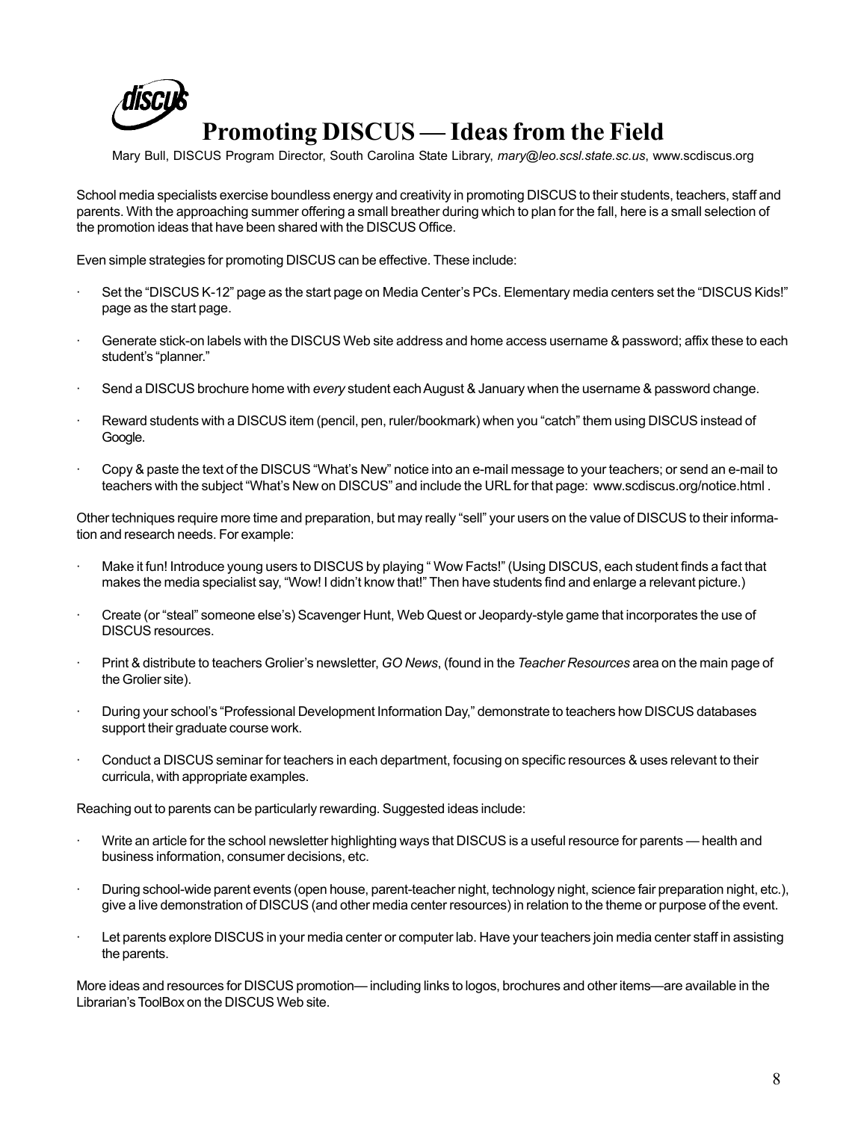

# **Promoting DISCUS — Ideas from the Field**

Mary Bull, DISCUS Program Director, South Carolina State Library, *mary@leo.scsl.state.sc.us*, www.scdiscus.org

School media specialists exercise boundless energy and creativity in promoting DISCUS to their students, teachers, staff and parents. With the approaching summer offering a small breather during which to plan for the fall, here is a small selection of the promotion ideas that have been shared with the DISCUS Office.

Even simple strategies for promoting DISCUS can be effective. These include:

- · Set the "DISCUS K-12" page as the start page on Media Center's PCs. Elementary media centers set the "DISCUS Kids!" page as the start page.
- Generate stick-on labels with the DISCUS Web site address and home access username & password; affix these to each student's "planner."
- · Send a DISCUS brochure home with *every* student each August & January when the username & password change.
- Reward students with a DISCUS item (pencil, pen, ruler/bookmark) when you "catch" them using DISCUS instead of Google.
- · Copy & paste the text of the DISCUS "What's New" notice into an e-mail message to your teachers; or send an e-mail to teachers with the subject "What's New on DISCUS" and include the URL for that page: www.scdiscus.org/notice.html .

Other techniques require more time and preparation, but may really "sell" your users on the value of DISCUS to their information and research needs. For example:

- Make it fun! Introduce young users to DISCUS by playing "Wow Facts!" (Using DISCUS, each student finds a fact that makes the media specialist say, "Wow! I didn't know that!" Then have students find and enlarge a relevant picture.)
- · Create (or "steal" someone else's) Scavenger Hunt, Web Quest or Jeopardy-style game that incorporates the use of DISCUS resources.
- · Print & distribute to teachers Grolier's newsletter, *GO News*, (found in the *Teacher Resources* area on the main page of the Grolier site).
- · During your school's "Professional Development Information Day," demonstrate to teachers how DISCUS databases support their graduate course work.
- · Conduct a DISCUS seminar for teachers in each department, focusing on specific resources & uses relevant to their curricula, with appropriate examples.

Reaching out to parents can be particularly rewarding. Suggested ideas include:

- Write an article for the school newsletter highlighting ways that DISCUS is a useful resource for parents health and business information, consumer decisions, etc.
- · During school-wide parent events (open house, parent-teacher night, technology night, science fair preparation night, etc.), give a live demonstration of DISCUS (and other media center resources) in relation to the theme or purpose of the event.
- Let parents explore DISCUS in your media center or computer lab. Have your teachers join media center staff in assisting the parents.

More ideas and resources for DISCUS promotion— including links to logos, brochures and other items—are available in the Librarian's ToolBox on the DISCUS Web site.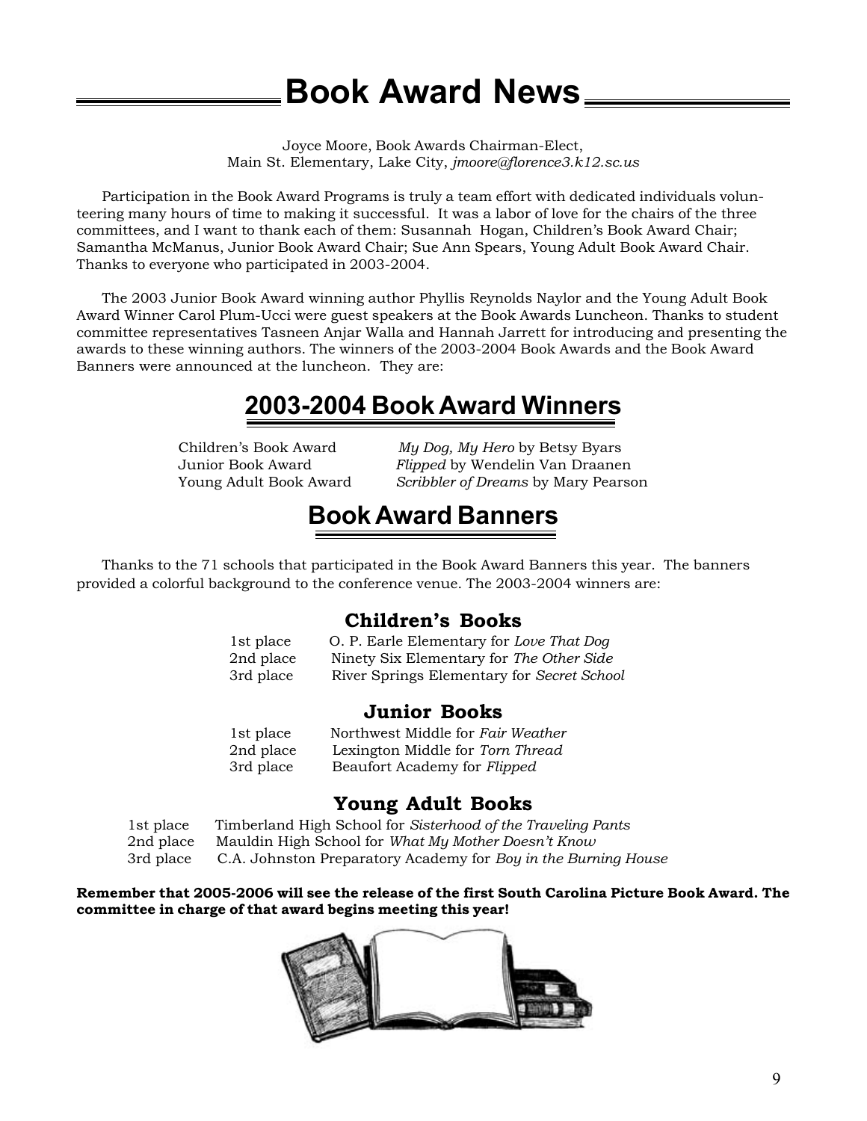# **Book Award News**

Joyce Moore, Book Awards Chairman-Elect, Main St. Elementary, Lake City, *jmoore@florence3.k12.sc.us*

Participation in the Book Award Programs is truly a team effort with dedicated individuals volunteering many hours of time to making it successful. It was a labor of love for the chairs of the three committees, and I want to thank each of them: Susannah Hogan, Children's Book Award Chair; Samantha McManus, Junior Book Award Chair; Sue Ann Spears, Young Adult Book Award Chair. Thanks to everyone who participated in 2003-2004.

The 2003 Junior Book Award winning author Phyllis Reynolds Naylor and the Young Adult Book Award Winner Carol Plum-Ucci were guest speakers at the Book Awards Luncheon. Thanks to student committee representatives Tasneen Anjar Walla and Hannah Jarrett for introducing and presenting the awards to these winning authors. The winners of the 2003-2004 Book Awards and the Book Award Banners were announced at the luncheon. They are:

# **2003-2004 Book Award Winners**

Children's Book Award *My Dog, My Hero* by Betsy Byars Junior Book Award *Flipped* by Wendelin Van Draanen Young Adult Book Award *Scribbler of Dreams* by Mary Pearson

# **Book Award Banners**

Thanks to the 71 schools that participated in the Book Award Banners this year. The banners provided a colorful background to the conference venue. The 2003-2004 winners are:

### **Children's Books**

| 1st place | O. P. Earle Elementary for Love That Dog   |
|-----------|--------------------------------------------|
| 2nd place | Ninety Six Elementary for The Other Side   |
| 3rd place | River Springs Elementary for Secret School |

### **Junior Books**

| 1st place | Northwest Middle for Fair Weather |
|-----------|-----------------------------------|
| 2nd place | Lexington Middle for Torn Thread  |
| 3rd place | Beaufort Academy for Flipped      |

### **Young Adult Books**

1st place Timberland High School for *Sisterhood of the Traveling Pants* 2nd place Mauldin High School for *What My Mother Doesn't Know* 3rd place C.A. Johnston Preparatory Academy for *Boy in the Burning House*

**Remember that 2005-2006 will see the release of the first South Carolina Picture Book Award. The committee in charge of that award begins meeting this year!**

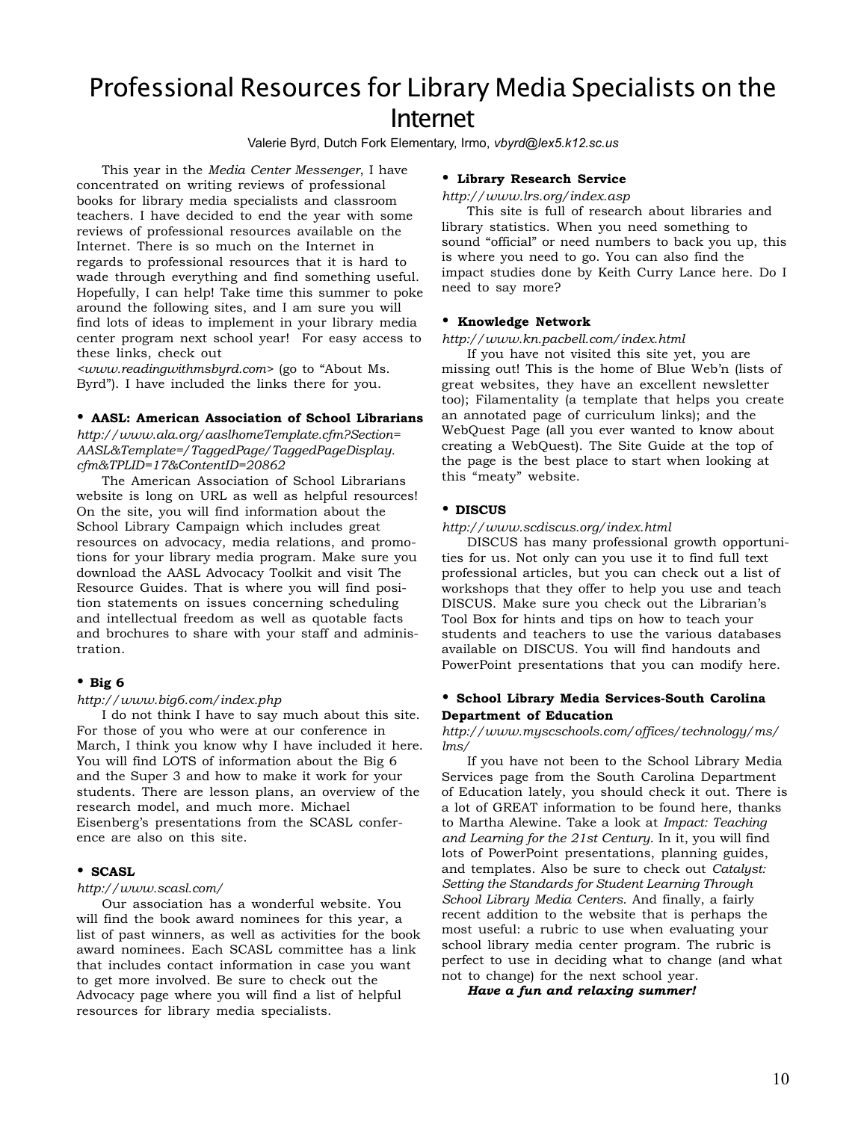# Professional Resources for Library Media Specialists on the Internet

Valerie Byrd, Dutch Fork Elementary, Irmo, *vbyrd@lex5.k12.sc.us*

This year in the *Media Center Messenger*, I have concentrated on writing reviews of professional books for library media specialists and classroom teachers. I have decided to end the year with some reviews of professional resources available on the Internet. There is so much on the Internet in regards to professional resources that it is hard to wade through everything and find something useful. Hopefully, I can help! Take time this summer to poke around the following sites, and I am sure you will find lots of ideas to implement in your library media center program next school year! For easy access to these links, check out

*<www.readingwithmsbyrd.com>* (go to "About Ms. Byrd"). I have included the links there for you.

### • **AASL: American Association of School Librarians**

*http://www.ala.org/aaslhomeTemplate.cfm?Section= AASL&Template=/TaggedPage/TaggedPageDisplay. cfm&TPLID=17&ContentID=20862*

The American Association of School Librarians website is long on URL as well as helpful resources! On the site, you will find information about the School Library Campaign which includes great resources on advocacy, media relations, and promotions for your library media program. Make sure you download the AASL Advocacy Toolkit and visit The Resource Guides. That is where you will find position statements on issues concerning scheduling and intellectual freedom as well as quotable facts and brochures to share with your staff and administration.

### • **Big 6**

#### *http://www.big6.com/index.php*

I do not think I have to say much about this site. For those of you who were at our conference in March, I think you know why I have included it here. You will find LOTS of information about the Big 6 and the Super 3 and how to make it work for your students. There are lesson plans, an overview of the research model, and much more. Michael Eisenberg's presentations from the SCASL conference are also on this site.

### • **SCASL**

#### *http://www.scasl.com/*

Our association has a wonderful website. You will find the book award nominees for this year, a list of past winners, as well as activities for the book award nominees. Each SCASL committee has a link that includes contact information in case you want to get more involved. Be sure to check out the Advocacy page where you will find a list of helpful resources for library media specialists.

### • **Library Research Service**

*http://www.lrs.org/index.asp*

This site is full of research about libraries and library statistics. When you need something to sound "official" or need numbers to back you up, this is where you need to go. You can also find the impact studies done by Keith Curry Lance here. Do I need to say more?

#### • **Knowledge Network**

#### *http://www.kn.pacbell.com/index.html*

If you have not visited this site yet, you are missing out! This is the home of Blue Web'n (lists of great websites, they have an excellent newsletter too); Filamentality (a template that helps you create an annotated page of curriculum links); and the WebQuest Page (all you ever wanted to know about creating a WebQuest). The Site Guide at the top of the page is the best place to start when looking at this "meaty" website.

#### • **DISCUS**

#### *http://www.scdiscus.org/index.html*

DISCUS has many professional growth opportunities for us. Not only can you use it to find full text professional articles, but you can check out a list of workshops that they offer to help you use and teach DISCUS. Make sure you check out the Librarian's Tool Box for hints and tips on how to teach your students and teachers to use the various databases available on DISCUS. You will find handouts and PowerPoint presentations that you can modify here.

### • **School Library Media Services-South Carolina Department of Education**

#### *http://www.myscschools.com/offices/technology/ms/ lms/*

If you have not been to the School Library Media Services page from the South Carolina Department of Education lately, you should check it out. There is a lot of GREAT information to be found here, thanks to Martha Alewine. Take a look at *Impact: Teaching and Learning for the 21st Century*. In it, you will find lots of PowerPoint presentations, planning guides, and templates. Also be sure to check out *Catalyst: Setting the Standards for Student Learning Through School Library Media Centers*. And finally, a fairly recent addition to the website that is perhaps the most useful: a rubric to use when evaluating your school library media center program. The rubric is perfect to use in deciding what to change (and what not to change) for the next school year.

*Have a fun and relaxing summer!*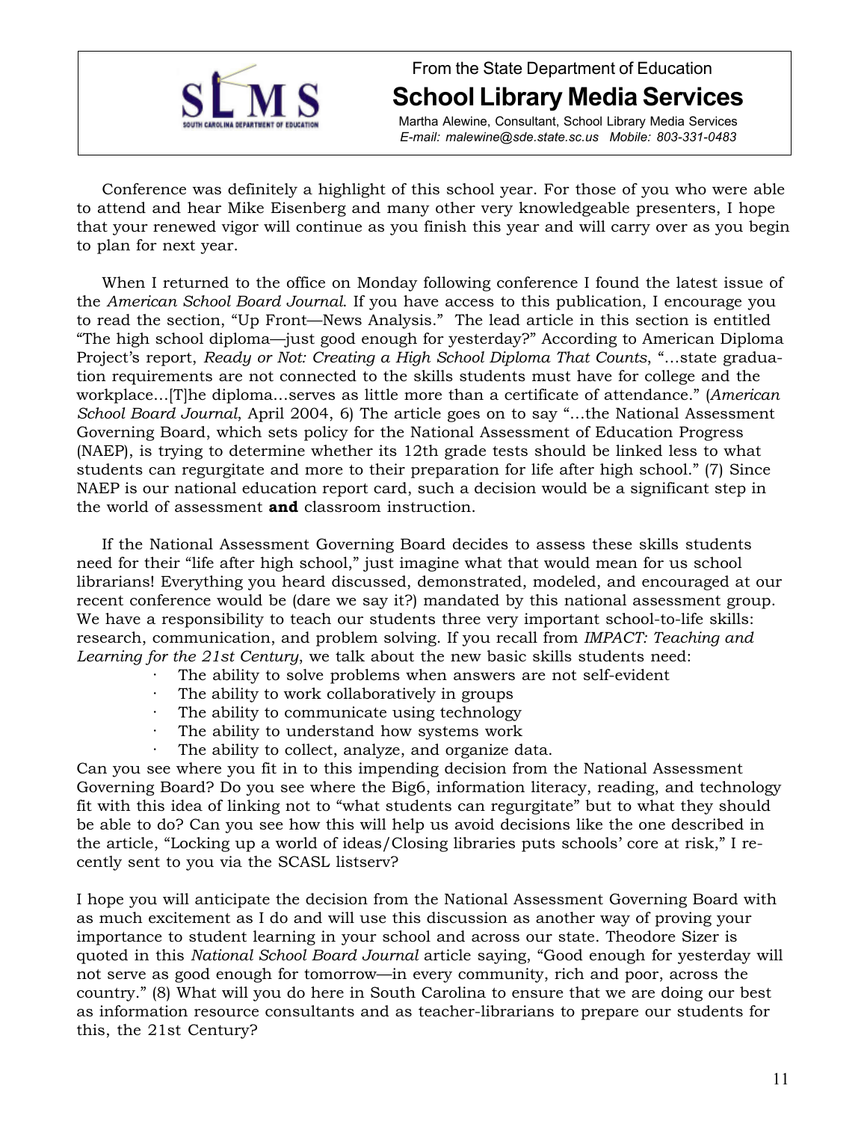

# From the State Department of Education **School Library Media Services**

Martha Alewine, Consultant, School Library Media Services *E-mail: malewine@sde.state.sc.us Mobile: 803-331-0483*

Conference was definitely a highlight of this school year. For those of you who were able to attend and hear Mike Eisenberg and many other very knowledgeable presenters, I hope that your renewed vigor will continue as you finish this year and will carry over as you begin to plan for next year.

When I returned to the office on Monday following conference I found the latest issue of the *American School Board Journal*. If you have access to this publication, I encourage you to read the section, "Up Front—News Analysis." The lead article in this section is entitled "The high school diploma—just good enough for yesterday?" According to American Diploma Project's report, *Ready or Not: Creating a High School Diploma That Counts*, "…state graduation requirements are not connected to the skills students must have for college and the workplace…[T]he diploma…serves as little more than a certificate of attendance." (*American School Board Journal*, April 2004, 6) The article goes on to say "…the National Assessment Governing Board, which sets policy for the National Assessment of Education Progress (NAEP), is trying to determine whether its 12th grade tests should be linked less to what students can regurgitate and more to their preparation for life after high school." (7) Since NAEP is our national education report card, such a decision would be a significant step in the world of assessment **and** classroom instruction.

If the National Assessment Governing Board decides to assess these skills students need for their "life after high school," just imagine what that would mean for us school librarians! Everything you heard discussed, demonstrated, modeled, and encouraged at our recent conference would be (dare we say it?) mandated by this national assessment group. We have a responsibility to teach our students three very important school-to-life skills: research, communication, and problem solving. If you recall from *IMPACT: Teaching and Learning for the 21st Century*, we talk about the new basic skills students need:

- The ability to solve problems when answers are not self-evident
- The ability to work collaboratively in groups
- · The ability to communicate using technology
- The ability to understand how systems work
- The ability to collect, analyze, and organize data.

Can you see where you fit in to this impending decision from the National Assessment Governing Board? Do you see where the Big6, information literacy, reading, and technology fit with this idea of linking not to "what students can regurgitate" but to what they should be able to do? Can you see how this will help us avoid decisions like the one described in the article, "Locking up a world of ideas/Closing libraries puts schools' core at risk," I recently sent to you via the SCASL listserv?

I hope you will anticipate the decision from the National Assessment Governing Board with as much excitement as I do and will use this discussion as another way of proving your importance to student learning in your school and across our state. Theodore Sizer is quoted in this *National School Board Journal* article saying, "Good enough for yesterday will not serve as good enough for tomorrow—in every community, rich and poor, across the country." (8) What will you do here in South Carolina to ensure that we are doing our best as information resource consultants and as teacher-librarians to prepare our students for this, the 21st Century?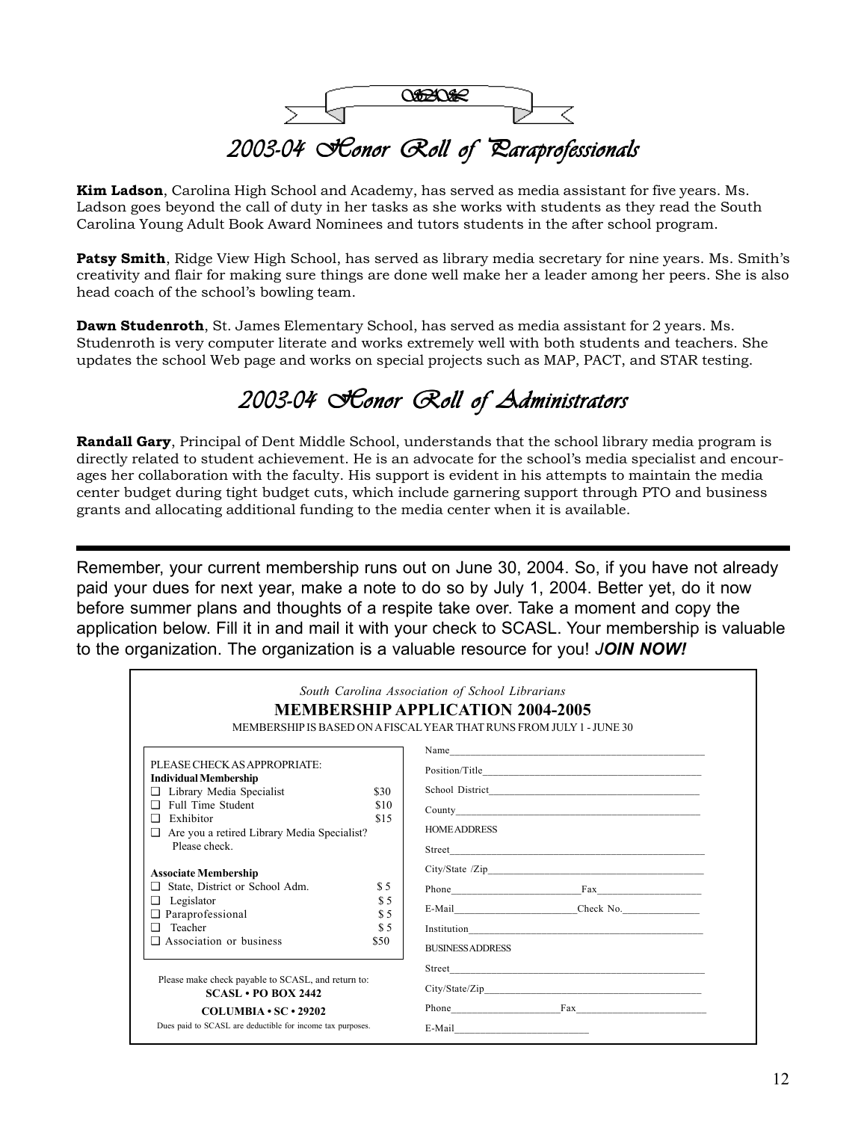

**Kim Ladson**, Carolina High School and Academy, has served as media assistant for five years. Ms. Ladson goes beyond the call of duty in her tasks as she works with students as they read the South Carolina Young Adult Book Award Nominees and tutors students in the after school program.

**Patsy Smith**, Ridge View High School, has served as library media secretary for nine years. Ms. Smith's creativity and flair for making sure things are done well make her a leader among her peers. She is also head coach of the school's bowling team.

**Dawn Studenroth**, St. James Elementary School, has served as media assistant for 2 years. Ms. Studenroth is very computer literate and works extremely well with both students and teachers. She updates the school Web page and works on special projects such as MAP, PACT, and STAR testing.

# *2003-04 Honor Roll of Administrators 2003-04 Honor of Administrators 2003-04 Roll of*

**Randall Gary**, Principal of Dent Middle School, understands that the school library media program is directly related to student achievement. He is an advocate for the school's media specialist and encourages her collaboration with the faculty. His support is evident in his attempts to maintain the media center budget during tight budget cuts, which include garnering support through PTO and business grants and allocating additional funding to the media center when it is available.

Remember, your current membership runs out on June 30, 2004. So, if you have not already paid your dues for next year, make a note to do so by July 1, 2004. Better yet, do it now before summer plans and thoughts of a respite take over. Take a moment and copy the application below. Fill it in and mail it with your check to SCASL. Your membership is valuable to the organization. The organization is a valuable resource for you! *JOIN NOW!*

|                                                                            |            | South Carolina Association of School Librarians<br><b>MEMBERSHIP APPLICATION 2004-2005</b><br>MEMBER SHIP IS BASED ON A FISCAL YEAR THAT RUNS FROM JULY 1 - JUNE 30 |
|----------------------------------------------------------------------------|------------|---------------------------------------------------------------------------------------------------------------------------------------------------------------------|
|                                                                            |            | Name                                                                                                                                                                |
| PLEASE CHECK AS APPROPRIATE:<br><b>Individual Membership</b>               |            |                                                                                                                                                                     |
| Library Media Specialist<br>⊔                                              | \$30       |                                                                                                                                                                     |
| Full Time Student<br>□                                                     | \$10       |                                                                                                                                                                     |
| Exhibitor<br>n                                                             | \$15       | <b>HOME ADDRESS</b>                                                                                                                                                 |
| Are you a retired Library Media Specialist?<br>▫<br>Please check           |            |                                                                                                                                                                     |
|                                                                            |            |                                                                                                                                                                     |
| <b>Associate Membership</b>                                                |            |                                                                                                                                                                     |
| State, District or School Adm.<br>ப                                        | \$5        |                                                                                                                                                                     |
| Legislator<br>▫<br>Paraprofessional<br>❏                                   | \$5<br>\$5 |                                                                                                                                                                     |
| Teacher<br>◻                                                               | \$5        |                                                                                                                                                                     |
| Association or business<br>◻                                               | \$50       | <b>BUSINESS ADDRESS</b>                                                                                                                                             |
|                                                                            |            |                                                                                                                                                                     |
| Please make check payable to SCASL, and return to:<br>$SCASI.$ PO BOX 2442 |            |                                                                                                                                                                     |
| $COLIMBIA \cdot SC \cdot 29202$                                            |            | Phone Fax Fax                                                                                                                                                       |
| Dues paid to SCASL are deductible for income tax purposes.                 |            |                                                                                                                                                                     |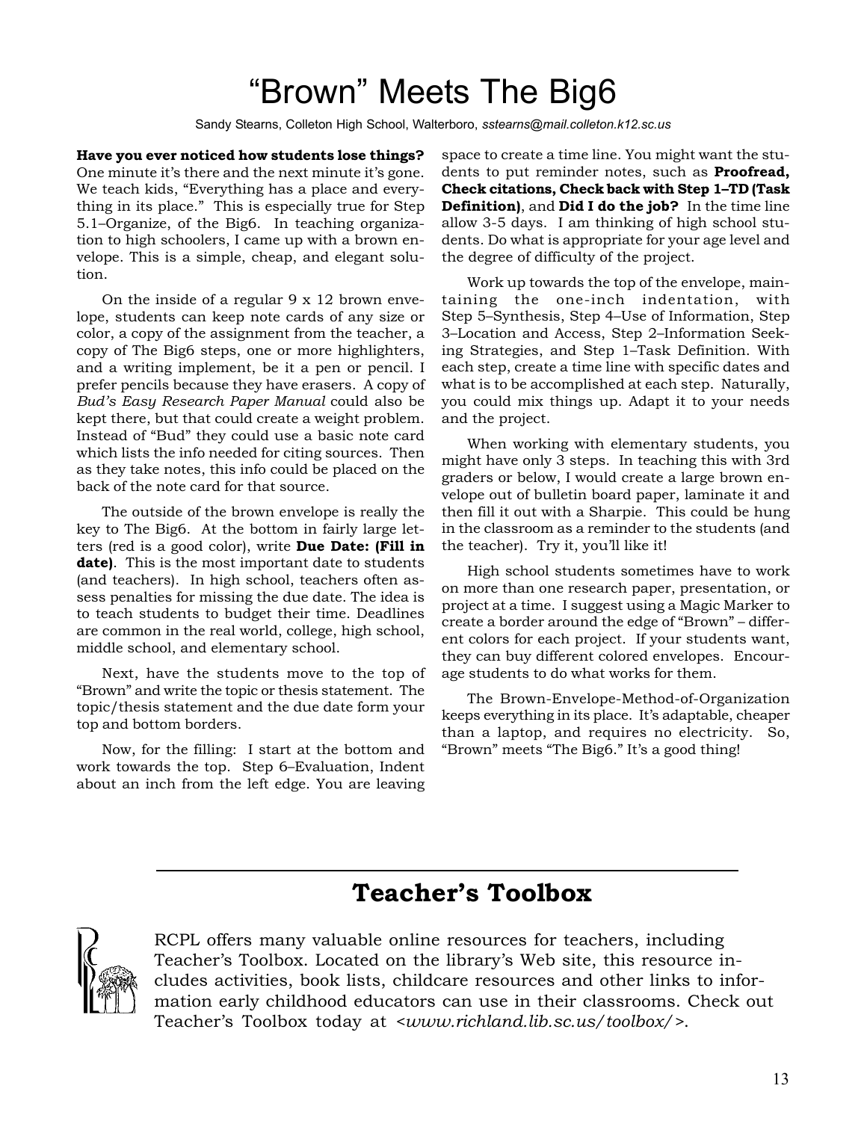# "Brown" Meets The Big6

Sandy Stearns, Colleton High School, Walterboro, *sstearns@mail.colleton.k12.sc.us*

**Have you ever noticed how students lose things?** One minute it's there and the next minute it's gone. We teach kids, "Everything has a place and everything in its place." This is especially true for Step 5.1–Organize, of the Big6. In teaching organization to high schoolers, I came up with a brown envelope. This is a simple, cheap, and elegant solution.

On the inside of a regular 9 x 12 brown envelope, students can keep note cards of any size or color, a copy of the assignment from the teacher, a copy of The Big6 steps, one or more highlighters, and a writing implement, be it a pen or pencil. I prefer pencils because they have erasers. A copy of *Bud's Easy Research Paper Manual* could also be kept there, but that could create a weight problem. Instead of "Bud" they could use a basic note card which lists the info needed for citing sources. Then as they take notes, this info could be placed on the back of the note card for that source.

The outside of the brown envelope is really the key to The Big6. At the bottom in fairly large letters (red is a good color), write **Due Date: (Fill in date)**. This is the most important date to students (and teachers). In high school, teachers often assess penalties for missing the due date. The idea is to teach students to budget their time. Deadlines are common in the real world, college, high school, middle school, and elementary school.

Next, have the students move to the top of "Brown" and write the topic or thesis statement. The topic/thesis statement and the due date form your top and bottom borders.

Now, for the filling: I start at the bottom and work towards the top. Step 6–Evaluation, Indent about an inch from the left edge. You are leaving space to create a time line. You might want the students to put reminder notes, such as **Proofread, Check citations, Check back with Step 1–TD (Task Definition)**, and **Did I do the job?** In the time line allow 3-5 days. I am thinking of high school students. Do what is appropriate for your age level and the degree of difficulty of the project.

Work up towards the top of the envelope, maintaining the one-inch indentation, with Step 5–Synthesis, Step 4–Use of Information, Step 3–Location and Access, Step 2–Information Seeking Strategies, and Step 1–Task Definition. With each step, create a time line with specific dates and what is to be accomplished at each step. Naturally, you could mix things up. Adapt it to your needs and the project.

When working with elementary students, you might have only 3 steps. In teaching this with 3rd graders or below, I would create a large brown envelope out of bulletin board paper, laminate it and then fill it out with a Sharpie. This could be hung in the classroom as a reminder to the students (and the teacher). Try it, you'll like it!

High school students sometimes have to work on more than one research paper, presentation, or project at a time. I suggest using a Magic Marker to create a border around the edge of "Brown" – different colors for each project. If your students want, they can buy different colored envelopes. Encourage students to do what works for them.

The Brown-Envelope-Method-of-Organization keeps everything in its place. It's adaptable, cheaper than a laptop, and requires no electricity. So, "Brown" meets "The Big6." It's a good thing!

## **Teacher's Toolbox**



RCPL offers many valuable online resources for teachers, including Teacher's Toolbox. Located on the library's Web site, this resource includes activities, book lists, childcare resources and other links to information early childhood educators can use in their classrooms. Check out Teacher's Toolbox today at *<www.richland.lib.sc.us/toolbox/>*.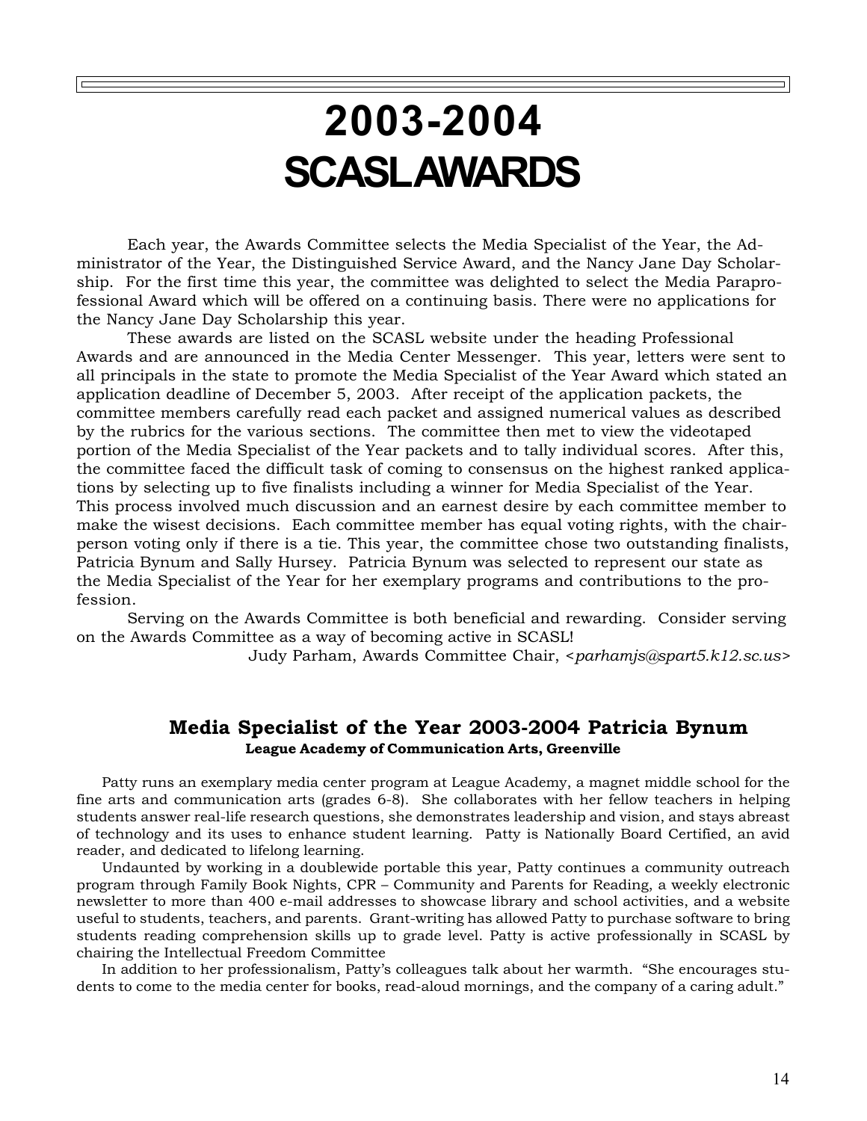# **2003-2004 SCASL AWARDS**

Each year, the Awards Committee selects the Media Specialist of the Year, the Administrator of the Year, the Distinguished Service Award, and the Nancy Jane Day Scholarship. For the first time this year, the committee was delighted to select the Media Paraprofessional Award which will be offered on a continuing basis. There were no applications for the Nancy Jane Day Scholarship this year.

These awards are listed on the SCASL website under the heading Professional Awards and are announced in the Media Center Messenger. This year, letters were sent to all principals in the state to promote the Media Specialist of the Year Award which stated an application deadline of December 5, 2003. After receipt of the application packets, the committee members carefully read each packet and assigned numerical values as described by the rubrics for the various sections. The committee then met to view the videotaped portion of the Media Specialist of the Year packets and to tally individual scores. After this, the committee faced the difficult task of coming to consensus on the highest ranked applications by selecting up to five finalists including a winner for Media Specialist of the Year. This process involved much discussion and an earnest desire by each committee member to make the wisest decisions. Each committee member has equal voting rights, with the chairperson voting only if there is a tie. This year, the committee chose two outstanding finalists, Patricia Bynum and Sally Hursey. Patricia Bynum was selected to represent our state as the Media Specialist of the Year for her exemplary programs and contributions to the profession.

Serving on the Awards Committee is both beneficial and rewarding. Consider serving on the Awards Committee as a way of becoming active in SCASL!

Judy Parham, Awards Committee Chair, <*parhamjs@spart5.k12.sc.us>*

### **Media Specialist of the Year 2003-2004 Patricia Bynum League Academy of Communication Arts, Greenville**

Patty runs an exemplary media center program at League Academy, a magnet middle school for the fine arts and communication arts (grades 6-8). She collaborates with her fellow teachers in helping students answer real-life research questions, she demonstrates leadership and vision, and stays abreast of technology and its uses to enhance student learning. Patty is Nationally Board Certified, an avid reader, and dedicated to lifelong learning.

Undaunted by working in a doublewide portable this year, Patty continues a community outreach program through Family Book Nights, CPR – Community and Parents for Reading, a weekly electronic newsletter to more than 400 e-mail addresses to showcase library and school activities, and a website useful to students, teachers, and parents. Grant-writing has allowed Patty to purchase software to bring students reading comprehension skills up to grade level. Patty is active professionally in SCASL by chairing the Intellectual Freedom Committee

In addition to her professionalism, Patty's colleagues talk about her warmth. "She encourages students to come to the media center for books, read-aloud mornings, and the company of a caring adult."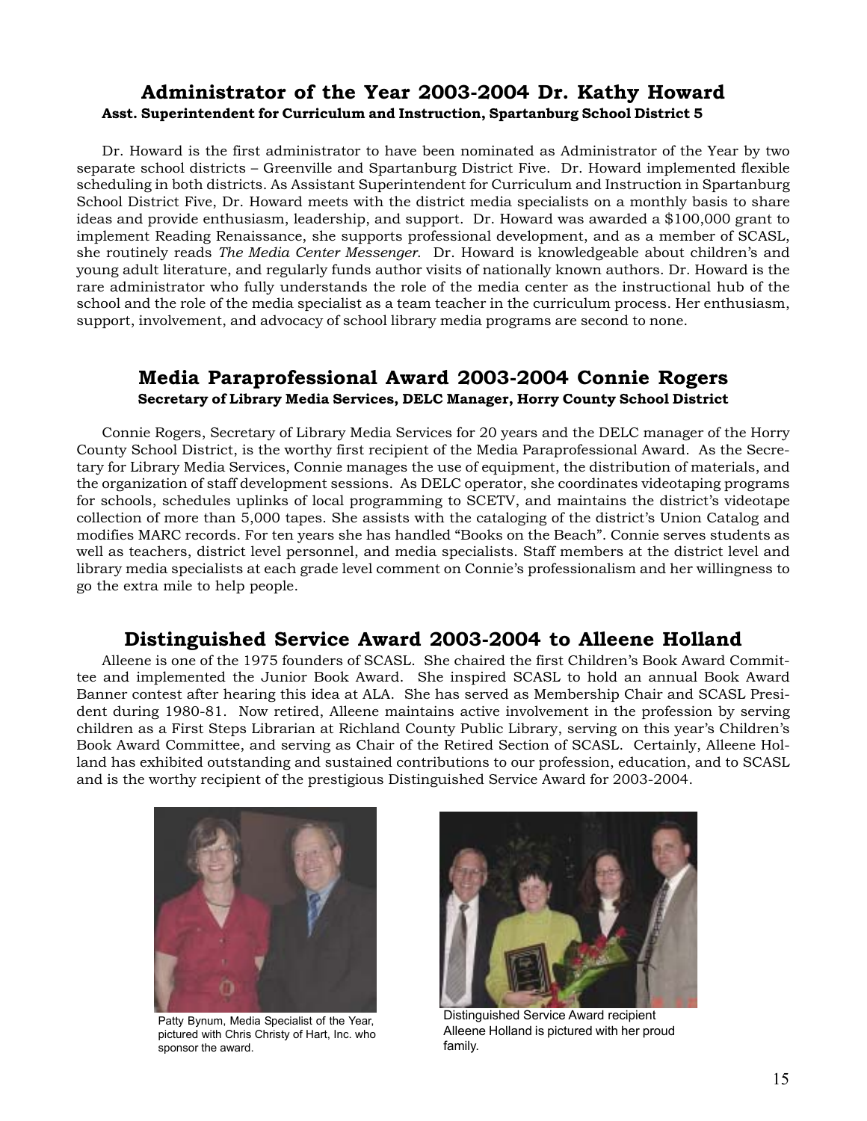### **Administrator of the Year 2003-2004 Dr. Kathy Howard Asst. Superintendent for Curriculum and Instruction, Spartanburg School District 5**

Dr. Howard is the first administrator to have been nominated as Administrator of the Year by two separate school districts – Greenville and Spartanburg District Five. Dr. Howard implemented flexible scheduling in both districts. As Assistant Superintendent for Curriculum and Instruction in Spartanburg School District Five, Dr. Howard meets with the district media specialists on a monthly basis to share ideas and provide enthusiasm, leadership, and support. Dr. Howard was awarded a \$100,000 grant to implement Reading Renaissance, she supports professional development, and as a member of SCASL, she routinely reads *The Media Center Messenger*. Dr. Howard is knowledgeable about children's and young adult literature, and regularly funds author visits of nationally known authors. Dr. Howard is the rare administrator who fully understands the role of the media center as the instructional hub of the school and the role of the media specialist as a team teacher in the curriculum process. Her enthusiasm, support, involvement, and advocacy of school library media programs are second to none.

### **Media Paraprofessional Award 2003-2004 Connie Rogers Secretary of Library Media Services, DELC Manager, Horry County School District**

Connie Rogers, Secretary of Library Media Services for 20 years and the DELC manager of the Horry County School District, is the worthy first recipient of the Media Paraprofessional Award. As the Secretary for Library Media Services, Connie manages the use of equipment, the distribution of materials, and the organization of staff development sessions. As DELC operator, she coordinates videotaping programs for schools, schedules uplinks of local programming to SCETV, and maintains the district's videotape collection of more than 5,000 tapes. She assists with the cataloging of the district's Union Catalog and modifies MARC records. For ten years she has handled "Books on the Beach". Connie serves students as well as teachers, district level personnel, and media specialists. Staff members at the district level and library media specialists at each grade level comment on Connie's professionalism and her willingness to go the extra mile to help people.

### **Distinguished Service Award 2003-2004 to Alleene Holland**

Alleene is one of the 1975 founders of SCASL. She chaired the first Children's Book Award Committee and implemented the Junior Book Award. She inspired SCASL to hold an annual Book Award Banner contest after hearing this idea at ALA. She has served as Membership Chair and SCASL President during 1980-81. Now retired, Alleene maintains active involvement in the profession by serving children as a First Steps Librarian at Richland County Public Library, serving on this year's Children's Book Award Committee, and serving as Chair of the Retired Section of SCASL. Certainly, Alleene Holland has exhibited outstanding and sustained contributions to our profession, education, and to SCASL and is the worthy recipient of the prestigious Distinguished Service Award for 2003-2004.



Patty Bynum, Media Specialist of the Year, pictured with Chris Christy of Hart, Inc. who sponsor the award.



Distinguished Service Award recipient Alleene Holland is pictured with her proud family.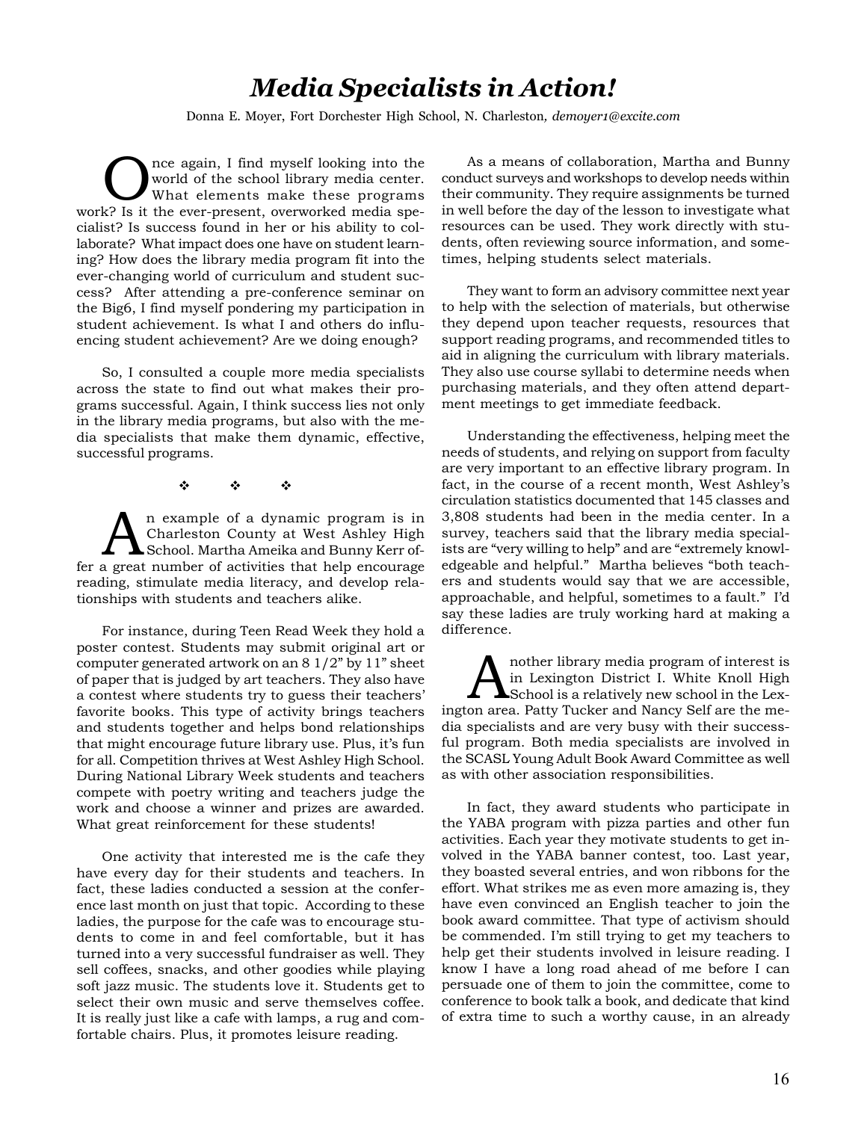## *Media Specialists in Action!*

Donna E. Moyer, Fort Dorchester High School, N. Charleston*, demoyer1@excite.com*

Once again, I find myself looking into the<br>
world of the school library media center.<br>
What elements make these programs world of the school library media center. work? Is it the ever-present, overworked media specialist? Is success found in her or his ability to collaborate? What impact does one have on student learning? How does the library media program fit into the ever-changing world of curriculum and student success? After attending a pre-conference seminar on the Big6, I find myself pondering my participation in student achievement. Is what I and others do influencing student achievement? Are we doing enough?

So, I consulted a couple more media specialists across the state to find out what makes their programs successful. Again, I think success lies not only in the library media programs, but also with the media specialists that make them dynamic, effective, successful programs.

 $\Phi_{\rm{1}}=\Phi_{\rm{2}}=\Phi_{\rm{3}}$ 

An example of a dynamic program is in<br>Charleston County at West Ashley High<br>School. Martha Ameika and Bunny Kerr of Charleston County at West Ashley High fer a great number of activities that help encourage reading, stimulate media literacy, and develop relationships with students and teachers alike.

For instance, during Teen Read Week they hold a poster contest. Students may submit original art or computer generated artwork on an 8 1/2" by 11" sheet of paper that is judged by art teachers. They also have a contest where students try to guess their teachers' favorite books. This type of activity brings teachers and students together and helps bond relationships that might encourage future library use. Plus, it's fun for all. Competition thrives at West Ashley High School. During National Library Week students and teachers compete with poetry writing and teachers judge the work and choose a winner and prizes are awarded. What great reinforcement for these students!

One activity that interested me is the cafe they have every day for their students and teachers. In fact, these ladies conducted a session at the conference last month on just that topic. According to these ladies, the purpose for the cafe was to encourage students to come in and feel comfortable, but it has turned into a very successful fundraiser as well. They sell coffees, snacks, and other goodies while playing soft jazz music. The students love it. Students get to select their own music and serve themselves coffee. It is really just like a cafe with lamps, a rug and comfortable chairs. Plus, it promotes leisure reading.

As a means of collaboration, Martha and Bunny conduct surveys and workshops to develop needs within their community. They require assignments be turned in well before the day of the lesson to investigate what resources can be used. They work directly with students, often reviewing source information, and sometimes, helping students select materials.

They want to form an advisory committee next year to help with the selection of materials, but otherwise they depend upon teacher requests, resources that support reading programs, and recommended titles to aid in aligning the curriculum with library materials. They also use course syllabi to determine needs when purchasing materials, and they often attend department meetings to get immediate feedback.

Understanding the effectiveness, helping meet the needs of students, and relying on support from faculty are very important to an effective library program. In fact, in the course of a recent month, West Ashley's circulation statistics documented that 145 classes and 3,808 students had been in the media center. In a survey, teachers said that the library media specialists are "very willing to help" and are "extremely knowledgeable and helpful." Martha believes "both teachers and students would say that we are accessible, approachable, and helpful, sometimes to a fault." I'd say these ladies are truly working hard at making a difference.

A nother library media program of interest is<br>in Lexington District I. White Knoll High<br>School is a relatively new school in the Lex-<br>on area, Botty Tucker and Napoy Self are the me in Lexington District I. White Knoll High School is a relatively new school in the Lexington area. Patty Tucker and Nancy Self are the media specialists and are very busy with their successful program. Both media specialists are involved in the SCASL Young Adult Book Award Committee as well as with other association responsibilities.

In fact, they award students who participate in the YABA program with pizza parties and other fun activities. Each year they motivate students to get involved in the YABA banner contest, too. Last year, they boasted several entries, and won ribbons for the effort. What strikes me as even more amazing is, they have even convinced an English teacher to join the book award committee. That type of activism should be commended. I'm still trying to get my teachers to help get their students involved in leisure reading. I know I have a long road ahead of me before I can persuade one of them to join the committee, come to conference to book talk a book, and dedicate that kind of extra time to such a worthy cause, in an already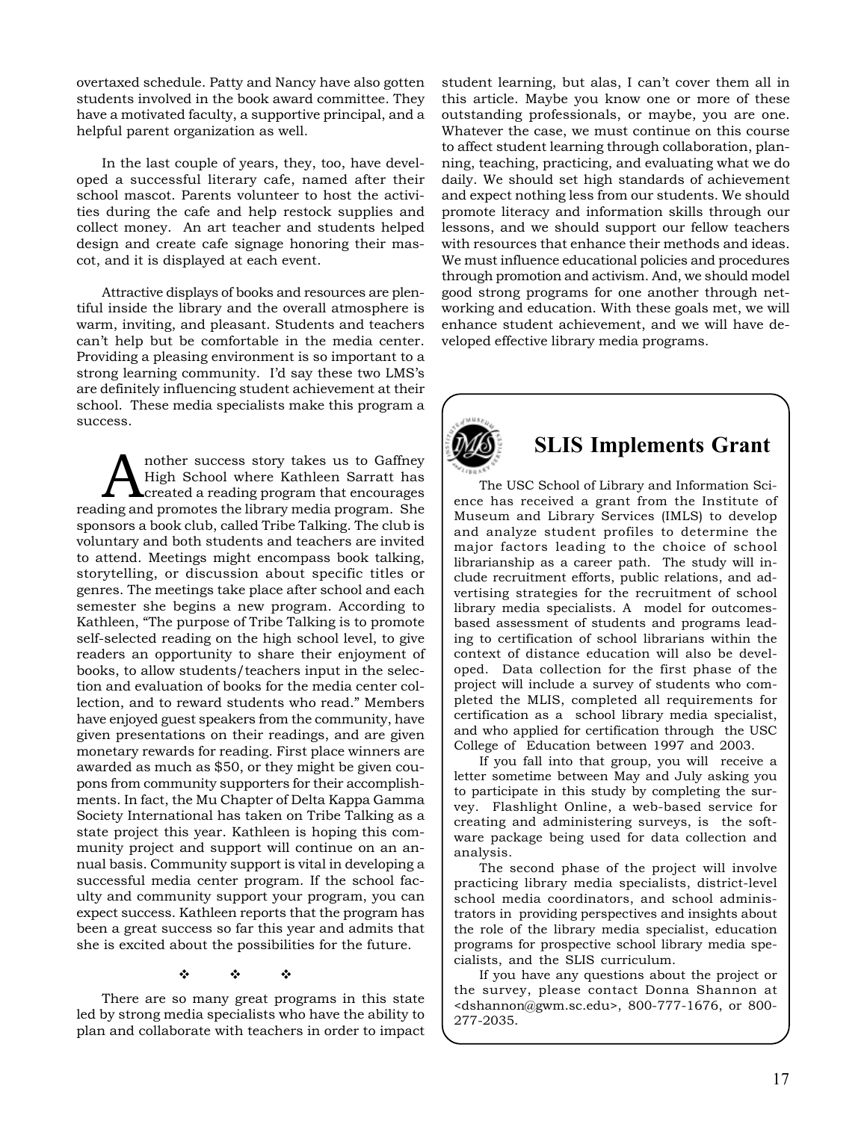overtaxed schedule. Patty and Nancy have also gotten students involved in the book award committee. They have a motivated faculty, a supportive principal, and a helpful parent organization as well.

In the last couple of years, they, too, have developed a successful literary cafe, named after their school mascot. Parents volunteer to host the activities during the cafe and help restock supplies and collect money. An art teacher and students helped design and create cafe signage honoring their mascot, and it is displayed at each event.

Attractive displays of books and resources are plentiful inside the library and the overall atmosphere is warm, inviting, and pleasant. Students and teachers can't help but be comfortable in the media center. Providing a pleasing environment is so important to a strong learning community. I'd say these two LMS's are definitely influencing student achievement at their school. These media specialists make this program a success.

nother success story takes us to Gaffney High School where Kathleen Sarratt has created a reading program that encourages reading and promotes the library media program. She sponsors a book club, called Tribe Talking. The club is voluntary and both students and teachers are invited to attend. Meetings might encompass book talking, storytelling, or discussion about specific titles or genres. The meetings take place after school and each semester she begins a new program. According to Kathleen, "The purpose of Tribe Talking is to promote self-selected reading on the high school level, to give readers an opportunity to share their enjoyment of books, to allow students/teachers input in the selection and evaluation of books for the media center collection, and to reward students who read." Members have enjoyed guest speakers from the community, have given presentations on their readings, and are given monetary rewards for reading. First place winners are awarded as much as \$50, or they might be given coupons from community supporters for their accomplishments. In fact, the Mu Chapter of Delta Kappa Gamma Society International has taken on Tribe Talking as a state project this year. Kathleen is hoping this community project and support will continue on an annual basis. Community support is vital in developing a successful media center program. If the school faculty and community support your program, you can expect success. Kathleen reports that the program has been a great success so far this year and admits that she is excited about the possibilities for the future.

 $\Phi_{\rm{1}}=\Phi_{\rm{2}}=\Phi_{\rm{3}}$ 

There are so many great programs in this state led by strong media specialists who have the ability to plan and collaborate with teachers in order to impact

student learning, but alas, I can't cover them all in this article. Maybe you know one or more of these outstanding professionals, or maybe, you are one. Whatever the case, we must continue on this course to affect student learning through collaboration, planning, teaching, practicing, and evaluating what we do daily. We should set high standards of achievement and expect nothing less from our students. We should promote literacy and information skills through our lessons, and we should support our fellow teachers with resources that enhance their methods and ideas. We must influence educational policies and procedures through promotion and activism. And, we should model good strong programs for one another through networking and education. With these goals met, we will enhance student achievement, and we will have developed effective library media programs.



### **SLIS Implements Grant**

The USC School of Library and Information Science has received a grant from the Institute of Museum and Library Services (IMLS) to develop and analyze student profiles to determine the major factors leading to the choice of school librarianship as a career path. The study will include recruitment efforts, public relations, and advertising strategies for the recruitment of school library media specialists. A model for outcomesbased assessment of students and programs leading to certification of school librarians within the context of distance education will also be developed. Data collection for the first phase of the project will include a survey of students who completed the MLIS, completed all requirements for certification as a school library media specialist, and who applied for certification through the USC College of Education between 1997 and 2003.

If you fall into that group, you will receive a letter sometime between May and July asking you to participate in this study by completing the survey. Flashlight Online, a web-based service for creating and administering surveys, is the software package being used for data collection and analysis.

The second phase of the project will involve practicing library media specialists, district-level school media coordinators, and school administrators in providing perspectives and insights about the role of the library media specialist, education programs for prospective school library media specialists, and the SLIS curriculum.

If you have any questions about the project or the survey, please contact Donna Shannon at <dshannon@gwm.sc.edu>, 800-777-1676, or 800- 277-2035.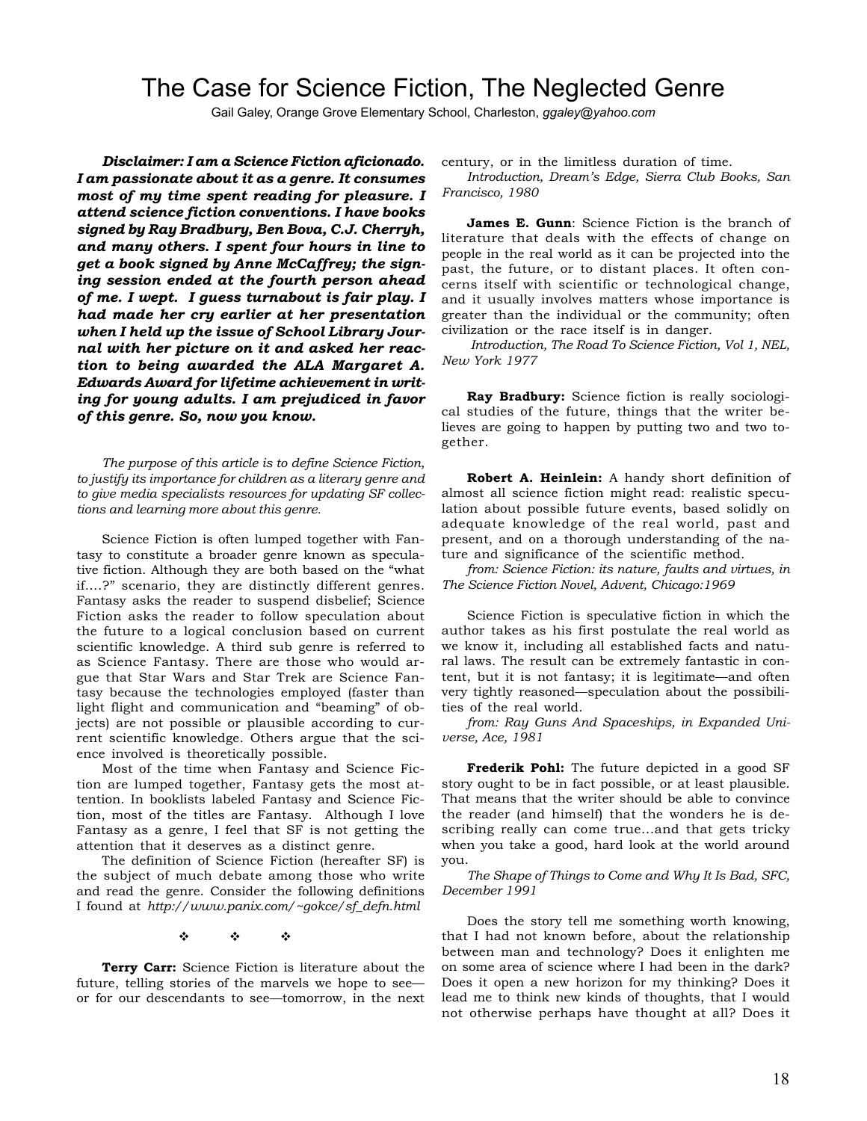### The Case for Science Fiction, The Neglected Genre

Gail Galey, Orange Grove Elementary School, Charleston, *ggaley@yahoo.com*

*Disclaimer: I am a Science Fiction aficionado. I am passionate about it as a genre. It consumes most of my time spent reading for pleasure. I attend science fiction conventions. I have books signed by Ray Bradbury, Ben Bova, C.J. Cherryh, and many others. I spent four hours in line to get a book signed by Anne McCaffrey; the signing session ended at the fourth person ahead of me. I wept. I guess turnabout is fair play. I had made her cry earlier at her presentation when I held up the issue of School Library Journal with her picture on it and asked her reaction to being awarded the ALA Margaret A. Edwards Award for lifetime achievement in writing for young adults. I am prejudiced in favor of this genre. So, now you know.*

*The purpose of this article is to define Science Fiction, to justify its importance for children as a literary genre and to give media specialists resources for updating SF collections and learning more about this genre.*

Science Fiction is often lumped together with Fantasy to constitute a broader genre known as speculative fiction. Although they are both based on the "what if….?" scenario, they are distinctly different genres. Fantasy asks the reader to suspend disbelief; Science Fiction asks the reader to follow speculation about the future to a logical conclusion based on current scientific knowledge. A third sub genre is referred to as Science Fantasy. There are those who would argue that Star Wars and Star Trek are Science Fantasy because the technologies employed (faster than light flight and communication and "beaming" of objects) are not possible or plausible according to current scientific knowledge. Others argue that the science involved is theoretically possible.

Most of the time when Fantasy and Science Fiction are lumped together, Fantasy gets the most attention. In booklists labeled Fantasy and Science Fiction, most of the titles are Fantasy. Although I love Fantasy as a genre, I feel that SF is not getting the attention that it deserves as a distinct genre.

The definition of Science Fiction (hereafter SF) is the subject of much debate among those who write and read the genre. Consider the following definitions I found at *http://www.panix.com/~gokce/sf\_defn.html*

 $\Phi_{\rm{1}}=-\Phi_{\rm{2}}=-\Phi_{\rm{3}}$ 

**Terry Carr:** Science Fiction is literature about the future, telling stories of the marvels we hope to see or for our descendants to see—tomorrow, in the next century, or in the limitless duration of time.

*Introduction, Dream's Edge, Sierra Club Books, San Francisco, 1980*

**James E. Gunn**: Science Fiction is the branch of literature that deals with the effects of change on people in the real world as it can be projected into the past, the future, or to distant places. It often concerns itself with scientific or technological change, and it usually involves matters whose importance is greater than the individual or the community; often civilization or the race itself is in danger.

*Introduction, The Road To Science Fiction, Vol 1, NEL, New York 1977*

**Ray Bradbury:** Science fiction is really sociological studies of the future, things that the writer believes are going to happen by putting two and two together.

**Robert A. Heinlein:** A handy short definition of almost all science fiction might read: realistic speculation about possible future events, based solidly on adequate knowledge of the real world, past and present, and on a thorough understanding of the nature and significance of the scientific method.

*from: Science Fiction: its nature, faults and virtues, in The Science Fiction Novel, Advent, Chicago:1969*

Science Fiction is speculative fiction in which the author takes as his first postulate the real world as we know it, including all established facts and natural laws. The result can be extremely fantastic in content, but it is not fantasy; it is legitimate—and often very tightly reasoned—speculation about the possibilities of the real world.

*from: Ray Guns And Spaceships, in Expanded Universe, Ace, 1981*

**Frederik Pohl:** The future depicted in a good SF story ought to be in fact possible, or at least plausible. That means that the writer should be able to convince the reader (and himself) that the wonders he is describing really can come true...and that gets tricky when you take a good, hard look at the world around you.

*The Shape of Things to Come and Why It Is Bad, SFC, December 1991*

Does the story tell me something worth knowing, that I had not known before, about the relationship between man and technology? Does it enlighten me on some area of science where I had been in the dark? Does it open a new horizon for my thinking? Does it lead me to think new kinds of thoughts, that I would not otherwise perhaps have thought at all? Does it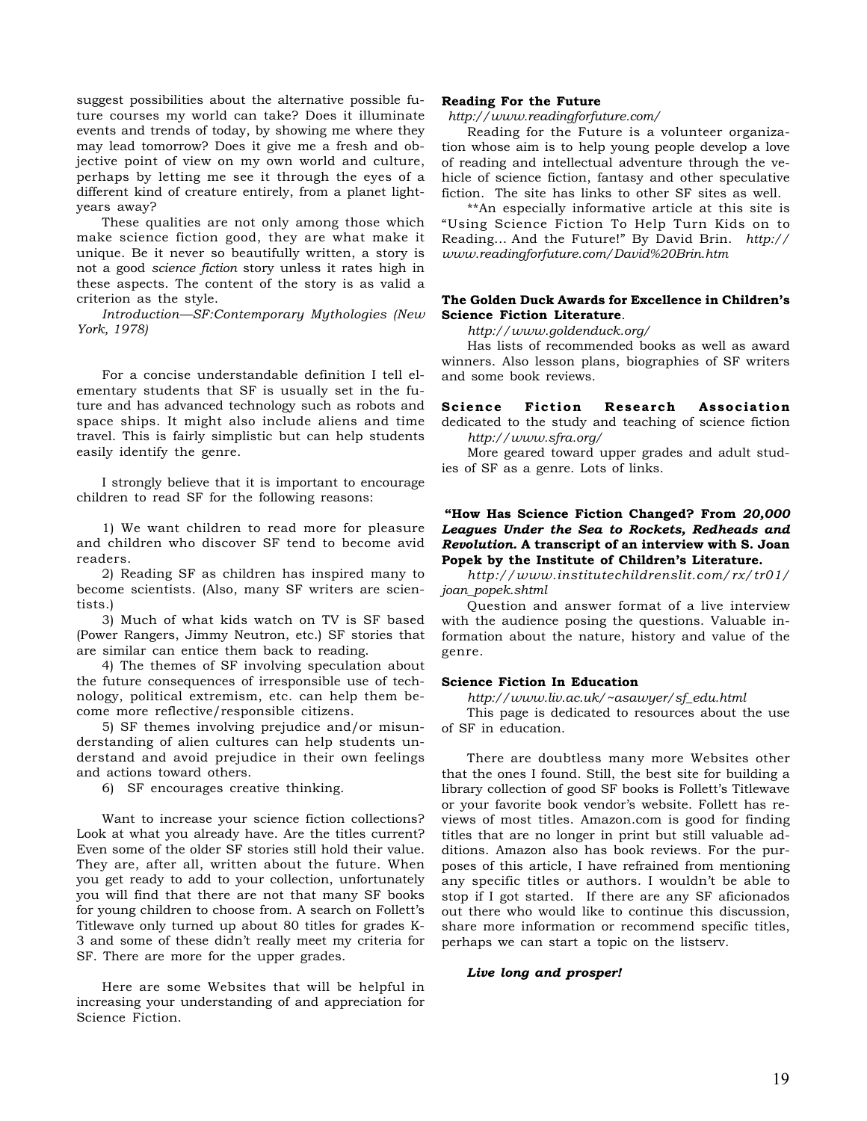suggest possibilities about the alternative possible future courses my world can take? Does it illuminate events and trends of today, by showing me where they may lead tomorrow? Does it give me a fresh and objective point of view on my own world and culture, perhaps by letting me see it through the eyes of a different kind of creature entirely, from a planet lightyears away?

These qualities are not only among those which make science fiction good, they are what make it unique. Be it never so beautifully written, a story is not a good *science fiction* story unless it rates high in these aspects. The content of the story is as valid a criterion as the style.

*Introduction—SF:Contemporary Mythologies (New York, 1978)*

For a concise understandable definition I tell elementary students that SF is usually set in the future and has advanced technology such as robots and space ships. It might also include aliens and time travel. This is fairly simplistic but can help students easily identify the genre.

I strongly believe that it is important to encourage children to read SF for the following reasons:

1) We want children to read more for pleasure and children who discover SF tend to become avid readers.

2) Reading SF as children has inspired many to become scientists. (Also, many SF writers are scientists.)

3) Much of what kids watch on TV is SF based (Power Rangers, Jimmy Neutron, etc.) SF stories that are similar can entice them back to reading.

4) The themes of SF involving speculation about the future consequences of irresponsible use of technology, political extremism, etc. can help them become more reflective/responsible citizens.

5) SF themes involving prejudice and/or misunderstanding of alien cultures can help students understand and avoid prejudice in their own feelings and actions toward others.

6) SF encourages creative thinking.

Want to increase your science fiction collections? Look at what you already have. Are the titles current? Even some of the older SF stories still hold their value. They are, after all, written about the future. When you get ready to add to your collection, unfortunately you will find that there are not that many SF books for young children to choose from. A search on Follett's Titlewave only turned up about 80 titles for grades K-3 and some of these didn't really meet my criteria for SF. There are more for the upper grades.

Here are some Websites that will be helpful in increasing your understanding of and appreciation for Science Fiction.

### **Reading For the Future**

*http://www.readingforfuture.com/*

Reading for the Future is a volunteer organization whose aim is to help young people develop a love of reading and intellectual adventure through the vehicle of science fiction, fantasy and other speculative fiction. The site has links to other SF sites as well.

\*\*An especially informative article at this site is "Using Science Fiction To Help Turn Kids on to Reading... And the Future!" By David Brin. *http:// www.readingforfuture.com/David%20Brin.htm*

### **The Golden Duck Awards for Excellence in Children's Science Fiction Literature**.

*http://www.goldenduck.org/*

Has lists of recommended books as well as award winners. Also lesson plans, biographies of SF writers and some book reviews.

**Science Fiction Research Association**

dedicated to the study and teaching of science fiction *http://www.sfra.org/*

More geared toward upper grades and adult studies of SF as a genre. Lots of links.

### **"How Has Science Fiction Changed? From** *20,000 Leagues Under the Sea to Rockets, Redheads and Revolution.* **A transcript of an interview with S. Joan Popek by the Institute of Children's Literature.**

*http://www.institutechildrenslit.com/rx/tr01/ joan\_popek.shtml*

Question and answer format of a live interview with the audience posing the questions. Valuable information about the nature, history and value of the genre.

#### **Science Fiction In Education**

*http://www.liv.ac.uk/~asawyer/sf\_edu.html*

This page is dedicated to resources about the use of SF in education.

There are doubtless many more Websites other that the ones I found. Still, the best site for building a library collection of good SF books is Follett's Titlewave or your favorite book vendor's website. Follett has reviews of most titles. Amazon.com is good for finding titles that are no longer in print but still valuable additions. Amazon also has book reviews. For the purposes of this article, I have refrained from mentioning any specific titles or authors. I wouldn't be able to stop if I got started. If there are any SF aficionados out there who would like to continue this discussion, share more information or recommend specific titles, perhaps we can start a topic on the listserv.

### *Live long and prosper!*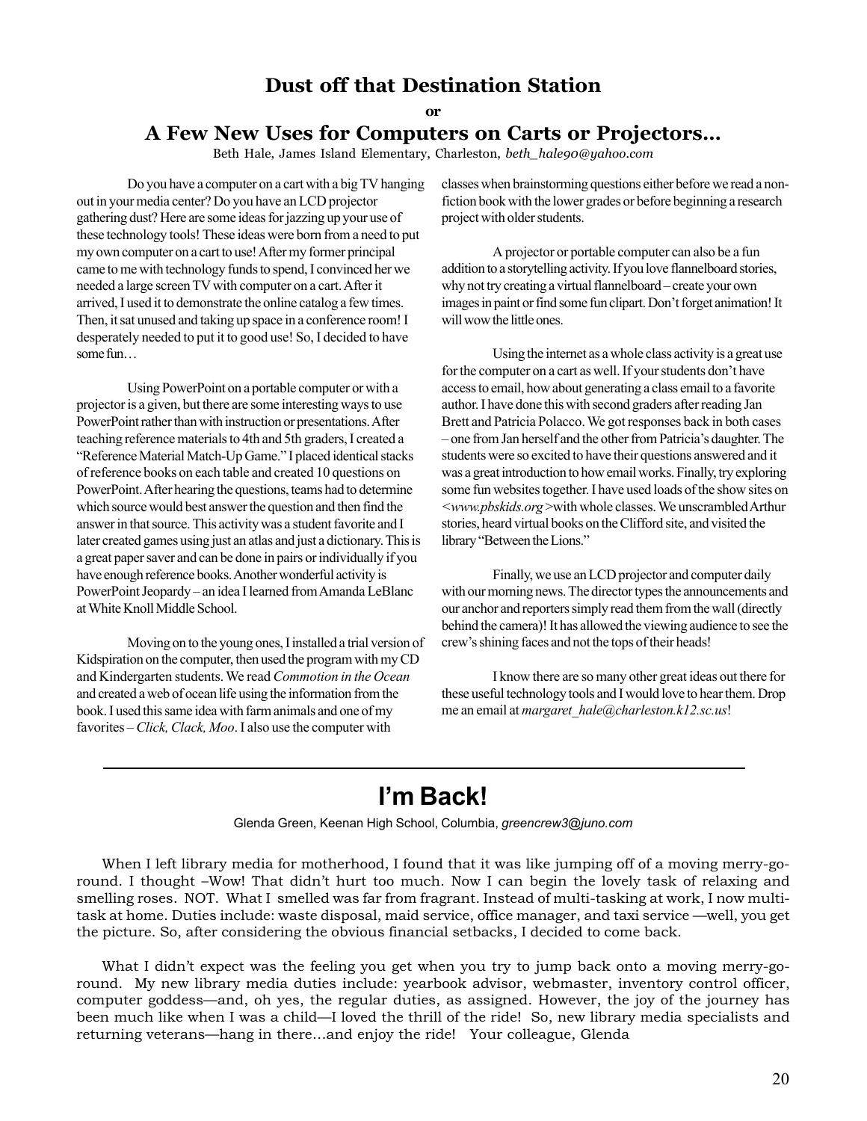### **Dust off that Destination Station**

**or**

### **A Few New Uses for Computers on Carts or Projectors…**

Beth Hale, James Island Elementary, Charleston, *beth\_hale90@yahoo.com*

Do you have a computer on a cart with a big TV hanging out in your media center? Do you have an LCD projector gathering dust? Here are some ideas for jazzing up your use of these technology tools! These ideas were born from a need to put my own computer on a cart to use! After my former principal came to me with technology funds to spend, I convinced her we needed a large screen TV with computer on a cart. After it arrived, I used it to demonstrate the online catalog a few times. Then, it sat unused and taking up space in a conference room! I desperately needed to put it to good use! So, I decided to have some fun…

Using PowerPoint on a portable computer or with a projector is a given, but there are some interesting ways to use PowerPoint rather than with instruction or presentations. After teaching reference materials to 4th and 5th graders, I created a "Reference Material Match-Up Game." I placed identical stacks of reference books on each table and created 10 questions on PowerPoint. After hearing the questions, teams had to determine which source would best answer the question and then find the answer in that source. This activity was a student favorite and I later created games using just an atlas and just a dictionary. This is a great paper saver and can be done in pairs or individually if you have enough reference books. Another wonderful activity is PowerPoint Jeopardy – an idea I learned from Amanda LeBlanc at White Knoll Middle School.

Moving on to the young ones, I installed a trial version of Kidspiration on the computer, then used the program with my CD and Kindergarten students. We read *Commotion in the Ocean* and created a web of ocean life using the information from the book. I used this same idea with farm animals and one of my favorites – *Click, Clack, Moo*. I also use the computer with

classes when brainstorming questions either before we read a nonfiction book with the lower grades or before beginning a research project with older students.

A projector or portable computer can also be a fun addition to a storytelling activity. If you love flannelboard stories, why not try creating a virtual flannelboard – create your own images in paint or find some fun clipart. Don't forget animation! It will wow the little ones.

Using the internet as a whole class activity is a great use for the computer on a cart as well. If your students don't have access to email, how about generating a class email to a favorite author. I have done this with second graders after reading Jan Brett and Patricia Polacco. We got responses back in both cases – one from Jan herself and the other from Patricia's daughter. The students were so excited to have their questions answered and it was a great introduction to how email works. Finally, try exploring some fun websites together. I have used loads of the show sites on *<www.pbskids.org* >with whole classes. We unscrambled Arthur stories, heard virtual books on the Clifford site, and visited the library "Between the Lions."

Finally, we use an LCD projector and computer daily with our morning news. The director types the announcements and our anchor and reporters simply read them from the wall (directly behind the camera)! It has allowed the viewing audience to see the crew's shining faces and not the tops of their heads!

I know there are so many other great ideas out there for these useful technology tools and I would love to hear them. Drop me an email at *margaret\_hale@charleston.k12.sc.us*!

# **I'm Back!**

Glenda Green, Keenan High School, Columbia, *greencrew3@juno.com*

When I left library media for motherhood, I found that it was like jumping off of a moving merry-goround. I thought –Wow! That didn't hurt too much. Now I can begin the lovely task of relaxing and smelling roses. NOT. What I smelled was far from fragrant. Instead of multi-tasking at work, I now multitask at home. Duties include: waste disposal, maid service, office manager, and taxi service —well, you get the picture. So, after considering the obvious financial setbacks, I decided to come back.

What I didn't expect was the feeling you get when you try to jump back onto a moving merry-goround. My new library media duties include: yearbook advisor, webmaster, inventory control officer, computer goddess—and, oh yes, the regular duties, as assigned. However, the joy of the journey has been much like when I was a child—I loved the thrill of the ride! So, new library media specialists and returning veterans—hang in there…and enjoy the ride! Your colleague, Glenda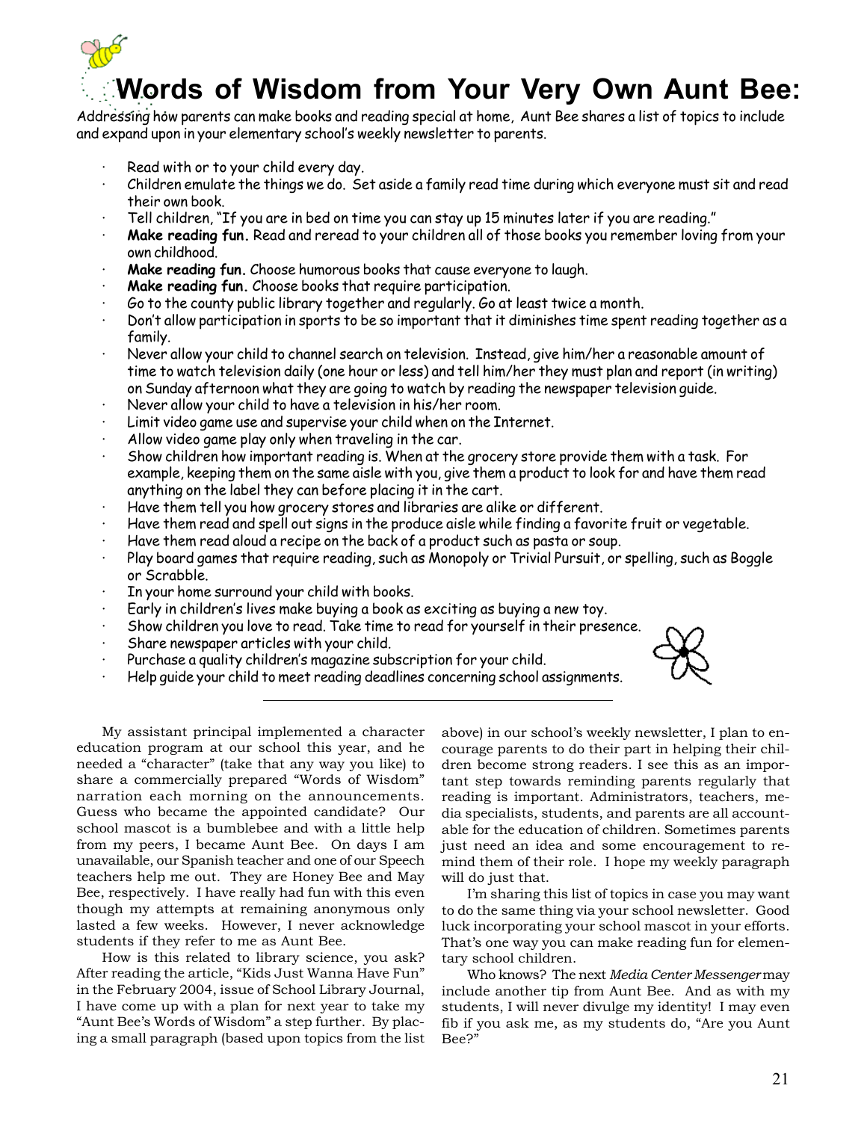

# **Words of Wisdom from Your Very Own Aunt Bee:**

Addressing how parents can make books and reading special at home, Aunt Bee shares a list of topics to include and expand upon in your elementary school's weekly newsletter to parents.

- Read with or to your child every day.
- · Children emulate the things we do. Set aside a family read time during which everyone must sit and read their own book.
- · Tell children, "If you are in bed on time you can stay up 15 minutes later if you are reading."
- · **Make reading fun.** Read and reread to your children all of those books you remember loving from your own childhood.
- **Make reading fun.** Choose humorous books that cause everyone to laugh.
- Make reading fun. Choose books that require participation.
- Go to the county public library together and regularly. Go at least twice a month.
- · Don't allow participation in sports to be so important that it diminishes time spent reading together as a family.
- · Never allow your child to channel search on television. Instead, give him/her a reasonable amount of time to watch television daily (one hour or less) and tell him/her they must plan and report (in writing) on Sunday afternoon what they are going to watch by reading the newspaper television guide.
- Never allow your child to have a television in his/her room.
- Limit video game use and supervise your child when on the Internet.
- Allow video game play only when traveling in the car.
- Show children how important reading is. When at the grocery store provide them with a task. For example, keeping them on the same aisle with you, give them a product to look for and have them read anything on the label they can before placing it in the cart.
- Have them tell you how grocery stores and libraries are alike or different.
- · Have them read and spell out signs in the produce aisle while finding a favorite fruit or vegetable.
- Have them read aloud a recipe on the back of a product such as pasta or soup.
- · Play board games that require reading, such as Monopoly or Trivial Pursuit, or spelling, such as Boggle or Scrabble.
- In your home surround your child with books.
- Early in children's lives make buying a book as exciting as buying a new toy.
- Show children you love to read. Take time to read for yourself in their presence.
- Share newspaper articles with your child.
- Purchase a quality children's magazine subscription for your child.
- Help guide your child to meet reading deadlines concerning school assignments.



My assistant principal implemented a character education program at our school this year, and he needed a "character" (take that any way you like) to share a commercially prepared "Words of Wisdom" narration each morning on the announcements. Guess who became the appointed candidate? Our school mascot is a bumblebee and with a little help from my peers, I became Aunt Bee. On days I am unavailable, our Spanish teacher and one of our Speech teachers help me out. They are Honey Bee and May Bee, respectively. I have really had fun with this even though my attempts at remaining anonymous only lasted a few weeks. However, I never acknowledge students if they refer to me as Aunt Bee.

How is this related to library science, you ask? After reading the article, "Kids Just Wanna Have Fun" in the February 2004, issue of School Library Journal, I have come up with a plan for next year to take my "Aunt Bee's Words of Wisdom" a step further. By placing a small paragraph (based upon topics from the list

above) in our school's weekly newsletter, I plan to encourage parents to do their part in helping their children become strong readers. I see this as an important step towards reminding parents regularly that reading is important. Administrators, teachers, media specialists, students, and parents are all accountable for the education of children. Sometimes parents just need an idea and some encouragement to remind them of their role. I hope my weekly paragraph will do just that.

I'm sharing this list of topics in case you may want to do the same thing via your school newsletter. Good luck incorporating your school mascot in your efforts. That's one way you can make reading fun for elementary school children.

Who knows? The next *Media Center Messenger* may include another tip from Aunt Bee. And as with my students, I will never divulge my identity! I may even fib if you ask me, as my students do, "Are you Aunt Bee?"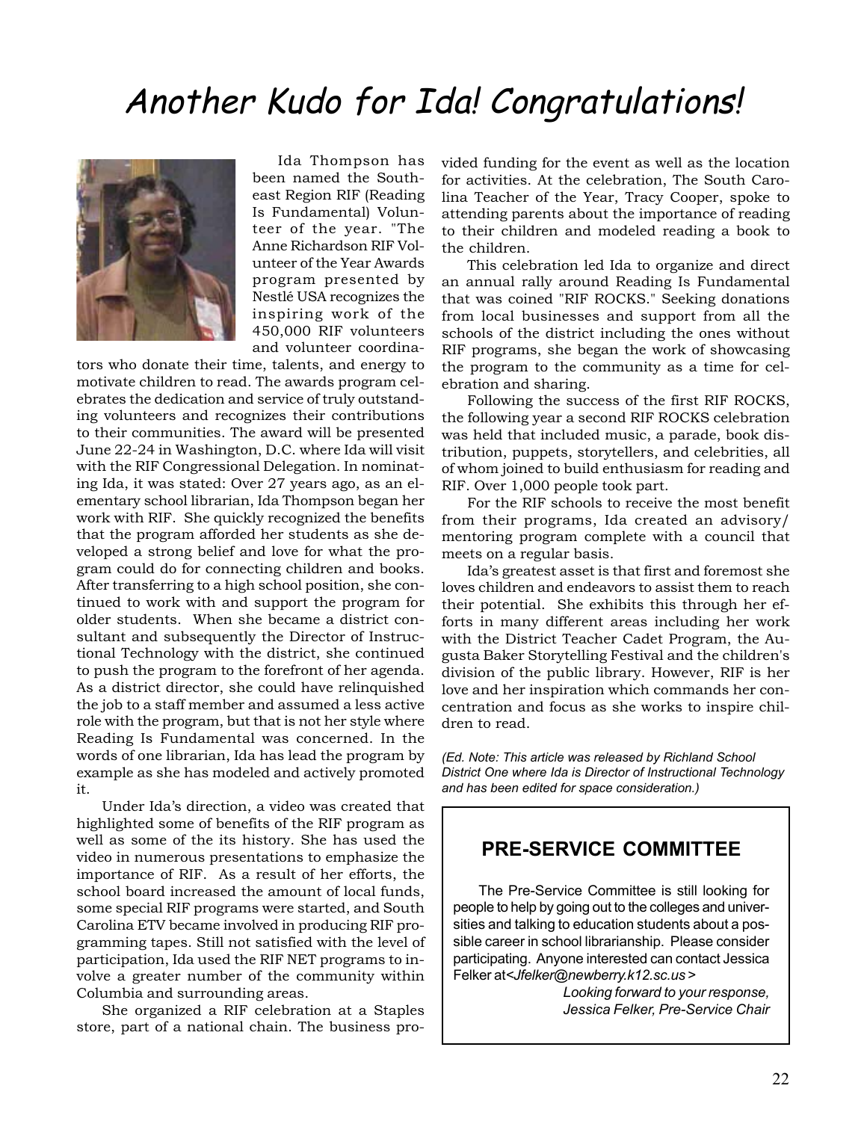# Another Kudo for Ida! Congratulations!



Ida Thompson has been named the Southeast Region RIF (Reading Is Fundamental) Volunteer of the year. "The Anne Richardson RIF Volunteer of the Year Awards program presented by Nestlé USA recognizes the inspiring work of the 450,000 RIF volunteers and volunteer coordina-

tors who donate their time, talents, and energy to motivate children to read. The awards program celebrates the dedication and service of truly outstanding volunteers and recognizes their contributions to their communities. The award will be presented June 22-24 in Washington, D.C. where Ida will visit with the RIF Congressional Delegation. In nominating Ida, it was stated: Over 27 years ago, as an elementary school librarian, Ida Thompson began her work with RIF. She quickly recognized the benefits that the program afforded her students as she developed a strong belief and love for what the program could do for connecting children and books. After transferring to a high school position, she continued to work with and support the program for older students. When she became a district consultant and subsequently the Director of Instructional Technology with the district, she continued to push the program to the forefront of her agenda. As a district director, she could have relinquished the job to a staff member and assumed a less active role with the program, but that is not her style where Reading Is Fundamental was concerned. In the words of one librarian, Ida has lead the program by example as she has modeled and actively promoted it.

Under Ida's direction, a video was created that highlighted some of benefits of the RIF program as well as some of the its history. She has used the video in numerous presentations to emphasize the importance of RIF. As a result of her efforts, the school board increased the amount of local funds, some special RIF programs were started, and South Carolina ETV became involved in producing RIF programming tapes. Still not satisfied with the level of participation, Ida used the RIF NET programs to involve a greater number of the community within Columbia and surrounding areas.

She organized a RIF celebration at a Staples store, part of a national chain. The business provided funding for the event as well as the location for activities. At the celebration, The South Carolina Teacher of the Year, Tracy Cooper, spoke to attending parents about the importance of reading to their children and modeled reading a book to the children.

This celebration led Ida to organize and direct an annual rally around Reading Is Fundamental that was coined "RIF ROCKS." Seeking donations from local businesses and support from all the schools of the district including the ones without RIF programs, she began the work of showcasing the program to the community as a time for celebration and sharing.

Following the success of the first RIF ROCKS, the following year a second RIF ROCKS celebration was held that included music, a parade, book distribution, puppets, storytellers, and celebrities, all of whom joined to build enthusiasm for reading and RIF. Over 1,000 people took part.

For the RIF schools to receive the most benefit from their programs, Ida created an advisory/ mentoring program complete with a council that meets on a regular basis.

Ida's greatest asset is that first and foremost she loves children and endeavors to assist them to reach their potential. She exhibits this through her efforts in many different areas including her work with the District Teacher Cadet Program, the Augusta Baker Storytelling Festival and the children's division of the public library. However, RIF is her love and her inspiration which commands her concentration and focus as she works to inspire children to read.

*(Ed. Note: This article was released by Richland School District One where Ida is Director of Instructional Technology and has been edited for space consideration.)*

### **PRE-SERVICE COMMITTEE**

The Pre-Service Committee is still looking for people to help by going out to the colleges and universities and talking to education students about a possible career in school librarianship. Please consider participating. Anyone interested can contact Jessica Felker at*<Jfelker@newberry.k12.sc.us* >

> *Looking forward to your response, Jessica Felker, Pre-Service Chair*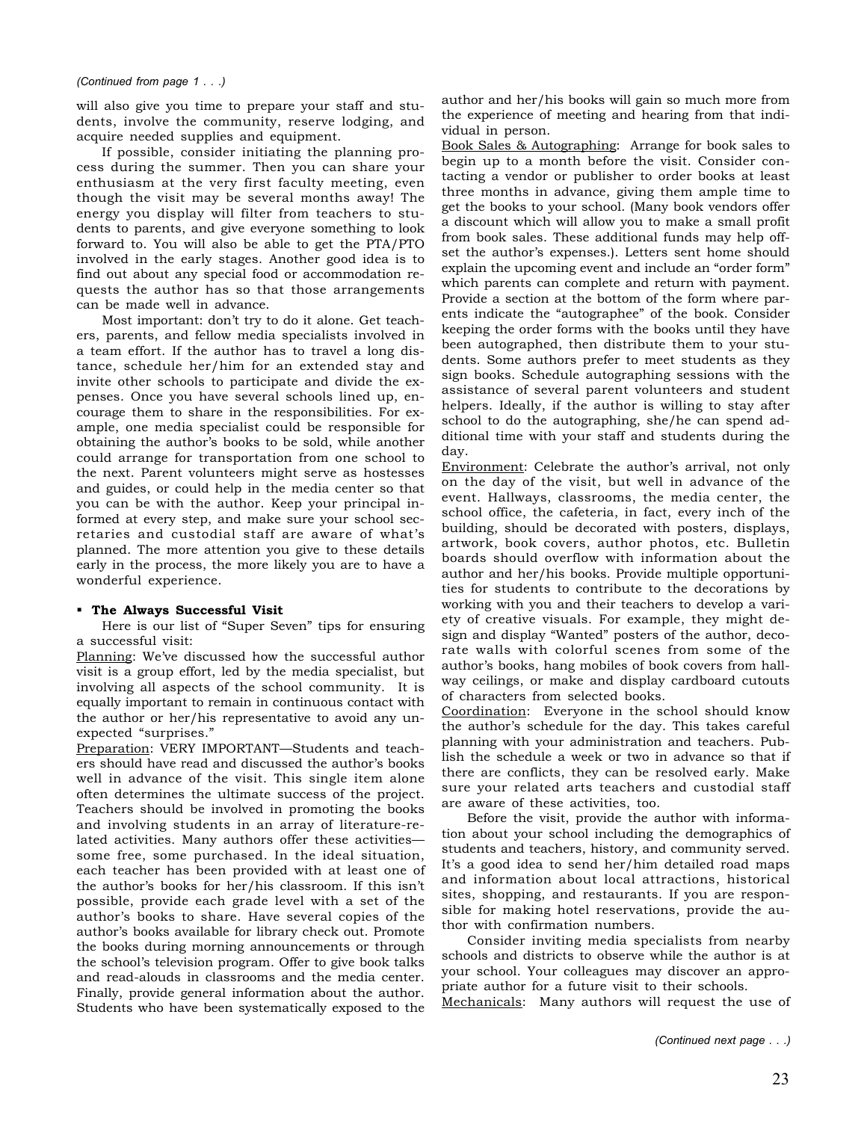will also give you time to prepare your staff and students, involve the community, reserve lodging, and acquire needed supplies and equipment.

If possible, consider initiating the planning process during the summer. Then you can share your enthusiasm at the very first faculty meeting, even though the visit may be several months away! The energy you display will filter from teachers to students to parents, and give everyone something to look forward to. You will also be able to get the PTA/PTO involved in the early stages. Another good idea is to find out about any special food or accommodation requests the author has so that those arrangements can be made well in advance.

Most important: don't try to do it alone. Get teachers, parents, and fellow media specialists involved in a team effort. If the author has to travel a long distance, schedule her/him for an extended stay and invite other schools to participate and divide the expenses. Once you have several schools lined up, encourage them to share in the responsibilities. For example, one media specialist could be responsible for obtaining the author's books to be sold, while another could arrange for transportation from one school to the next. Parent volunteers might serve as hostesses and guides, or could help in the media center so that you can be with the author. Keep your principal informed at every step, and make sure your school secretaries and custodial staff are aware of what's planned. The more attention you give to these details early in the process, the more likely you are to have a wonderful experience.

### **The Always Successful Visit**

Here is our list of "Super Seven" tips for ensuring a successful visit:

Planning: We've discussed how the successful author visit is a group effort, led by the media specialist, but involving all aspects of the school community. It is equally important to remain in continuous contact with the author or her/his representative to avoid any unexpected "surprises."

Preparation: VERY IMPORTANT—Students and teachers should have read and discussed the author's books well in advance of the visit. This single item alone often determines the ultimate success of the project. Teachers should be involved in promoting the books and involving students in an array of literature-related activities. Many authors offer these activities some free, some purchased. In the ideal situation, each teacher has been provided with at least one of the author's books for her/his classroom. If this isn't possible, provide each grade level with a set of the author's books to share. Have several copies of the author's books available for library check out. Promote the books during morning announcements or through the school's television program. Offer to give book talks and read-alouds in classrooms and the media center. Finally, provide general information about the author. Students who have been systematically exposed to the

author and her/his books will gain so much more from the experience of meeting and hearing from that individual in person.

Book Sales & Autographing: Arrange for book sales to begin up to a month before the visit. Consider contacting a vendor or publisher to order books at least three months in advance, giving them ample time to get the books to your school. (Many book vendors offer a discount which will allow you to make a small profit from book sales. These additional funds may help offset the author's expenses.). Letters sent home should explain the upcoming event and include an "order form" which parents can complete and return with payment. Provide a section at the bottom of the form where parents indicate the "autographee" of the book. Consider keeping the order forms with the books until they have been autographed, then distribute them to your students. Some authors prefer to meet students as they sign books. Schedule autographing sessions with the assistance of several parent volunteers and student helpers. Ideally, if the author is willing to stay after school to do the autographing, she/he can spend additional time with your staff and students during the day.

Environment: Celebrate the author's arrival, not only on the day of the visit, but well in advance of the event. Hallways, classrooms, the media center, the school office, the cafeteria, in fact, every inch of the building, should be decorated with posters, displays, artwork, book covers, author photos, etc. Bulletin boards should overflow with information about the author and her/his books. Provide multiple opportunities for students to contribute to the decorations by working with you and their teachers to develop a variety of creative visuals. For example, they might design and display "Wanted" posters of the author, decorate walls with colorful scenes from some of the author's books, hang mobiles of book covers from hallway ceilings, or make and display cardboard cutouts of characters from selected books.

Coordination: Everyone in the school should know the author's schedule for the day. This takes careful planning with your administration and teachers. Publish the schedule a week or two in advance so that if there are conflicts, they can be resolved early. Make sure your related arts teachers and custodial staff are aware of these activities, too.

Before the visit, provide the author with information about your school including the demographics of students and teachers, history, and community served. It's a good idea to send her/him detailed road maps and information about local attractions, historical sites, shopping, and restaurants. If you are responsible for making hotel reservations, provide the author with confirmation numbers.

Consider inviting media specialists from nearby schools and districts to observe while the author is at your school. Your colleagues may discover an appropriate author for a future visit to their schools.

Mechanicals: Many authors will request the use of

*(Continued next page . . .)*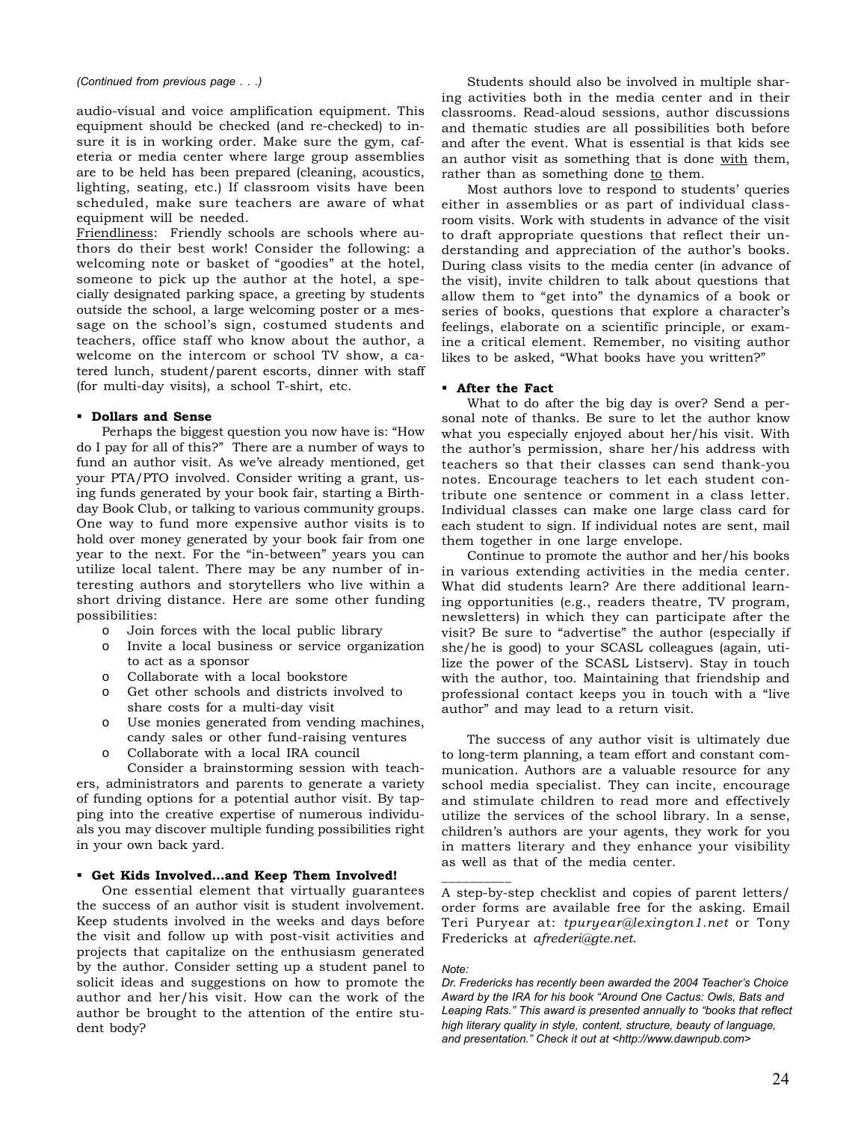#### *(Continued from previous page . . .)*

audio-visual and voice amplification equipment. This equipment should be checked (and re-checked) to insure it is in working order. Make sure the gym, cafeteria or media center where large group assemblies are to be held has been prepared (cleaning, acoustics, lighting, seating, etc.) If classroom visits have been scheduled, make sure teachers are aware of what equipment will be needed.

Friendliness: Friendly schools are schools where authors do their best work! Consider the following: a welcoming note or basket of "goodies" at the hotel, someone to pick up the author at the hotel, a specially designated parking space, a greeting by students outside the school, a large welcoming poster or a message on the school's sign, costumed students and teachers, office staff who know about the author, a welcome on the intercom or school TV show, a catered lunch, student/parent escorts, dinner with staff (for multi-day visits), a school T-shirt, etc.

#### **Dollars and Sense**

Perhaps the biggest question you now have is: "How do I pay for all of this?" There are a number of ways to fund an author visit. As we've already mentioned, get your PTA/PTO involved. Consider writing a grant, using funds generated by your book fair, starting a Birthday Book Club, or talking to various community groups. One way to fund more expensive author visits is to hold over money generated by your book fair from one year to the next. For the "in-between" years you can utilize local talent. There may be any number of interesting authors and storytellers who live within a short driving distance. Here are some other funding possibilities:

- o Join forces with the local public library
- o Invite a local business or service organization to act as a sponsor
- o Collaborate with a local bookstore
- o Get other schools and districts involved to share costs for a multi-day visit
- o Use monies generated from vending machines, candy sales or other fund-raising ventures
- o Collaborate with a local IRA council

Consider a brainstorming session with teachers, administrators and parents to generate a variety of funding options for a potential author visit. By tapping into the creative expertise of numerous individuals you may discover multiple funding possibilities right in your own back yard.

### **Get Kids Involved…and Keep Them Involved!**

One essential element that virtually guarantees the success of an author visit is student involvement. Keep students involved in the weeks and days before the visit and follow up with post-visit activities and projects that capitalize on the enthusiasm generated by the author. Consider setting up a student panel to solicit ideas and suggestions on how to promote the author and her/his visit. How can the work of the author be brought to the attention of the entire student body?

Students should also be involved in multiple sharing activities both in the media center and in their classrooms. Read-aloud sessions, author discussions and thematic studies are all possibilities both before and after the event. What is essential is that kids see an author visit as something that is done with them, rather than as something done to them.

Most authors love to respond to students' queries either in assemblies or as part of individual classroom visits. Work with students in advance of the visit to draft appropriate questions that reflect their understanding and appreciation of the author's books. During class visits to the media center (in advance of the visit), invite children to talk about questions that allow them to "get into" the dynamics of a book or series of books, questions that explore a character's feelings, elaborate on a scientific principle, or examine a critical element. Remember, no visiting author likes to be asked, "What books have you written?"

### **After the Fact**

What to do after the big day is over? Send a personal note of thanks. Be sure to let the author know what you especially enjoyed about her/his visit. With the author's permission, share her/his address with teachers so that their classes can send thank-you notes. Encourage teachers to let each student contribute one sentence or comment in a class letter. Individual classes can make one large class card for each student to sign. If individual notes are sent, mail them together in one large envelope.

Continue to promote the author and her/his books in various extending activities in the media center. What did students learn? Are there additional learning opportunities (e.g., readers theatre, TV program, newsletters) in which they can participate after the visit? Be sure to "advertise" the author (especially if she/he is good) to your SCASL colleagues (again, utilize the power of the SCASL Listserv). Stay in touch with the author, too. Maintaining that friendship and professional contact keeps you in touch with a "live author" and may lead to a return visit.

The success of any author visit is ultimately due to long-term planning, a team effort and constant communication. Authors are a valuable resource for any school media specialist. They can incite, encourage and stimulate children to read more and effectively utilize the services of the school library. In a sense, children's authors are your agents, they work for you in matters literary and they enhance your visibility as well as that of the media center.

A step-by-step checklist and copies of parent letters/ order forms are available free for the asking. Email Teri Puryear at: *tpuryear@lexington1.net* or Tony Fredericks at *afrederi@gte.net*.

#### *Note:*

\_\_\_\_\_\_\_\_\_\_\_

*Dr. Fredericks has recently been awarded the 2004 Teacher's Choice Award by the IRA for his book "Around One Cactus: Owls, Bats and Leaping Rats." This award is presented annually to "books that reflect high literary quality in style, content, structure, beauty of language, and presentation." Check it out at <http://www.dawnpub.com>*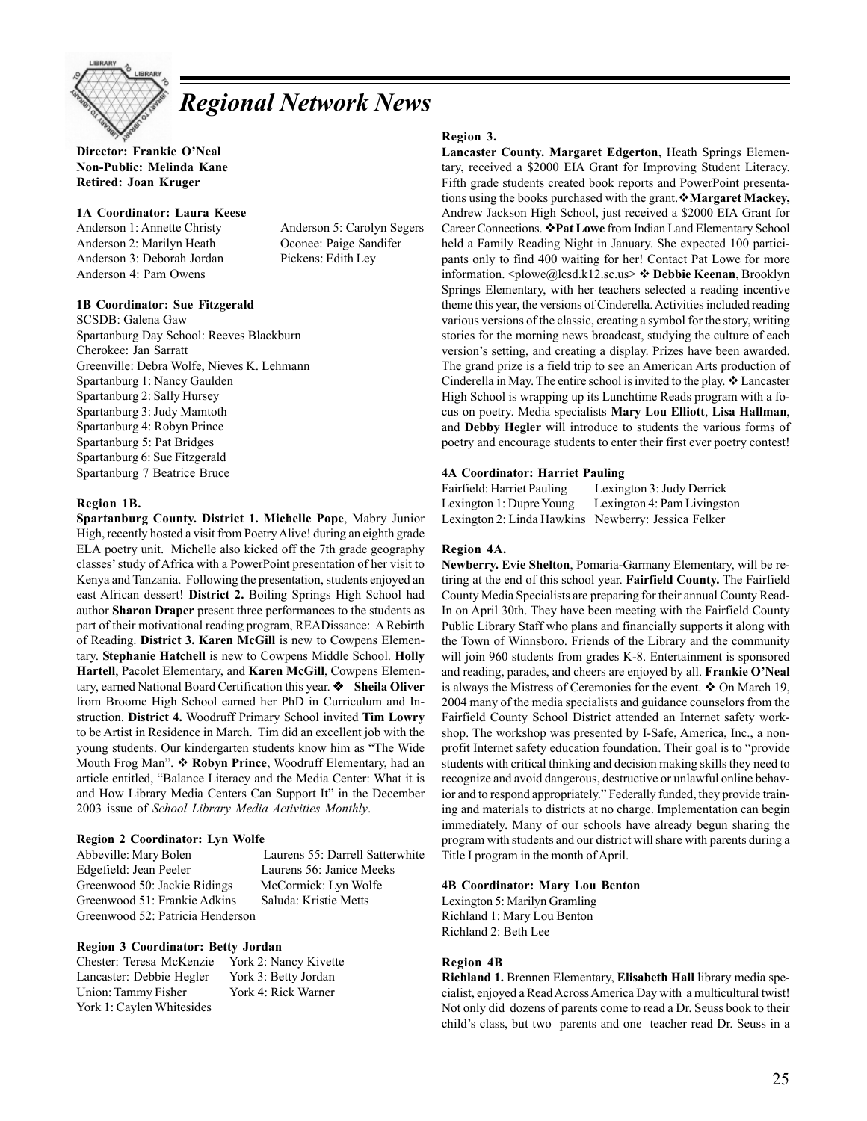

# *Regional Network News*

**Director: Frankie O'Neal Non-Public: Melinda Kane Retired: Joan Kruger**

### **1A Coordinator: Laura Keese**

Anderson 1: Annette Christy Anderson 5: Carolyn Segers Anderson 2: Marilyn Heath Oconee: Paige Sandifer Anderson 3: Deborah Jordan Pickens: Edith Ley Anderson 4: Pam Owens

### **1B Coordinator: Sue Fitzgerald**

SCSDB: Galena Gaw Spartanburg Day School: Reeves Blackburn Cherokee: Jan Sarratt Greenville: Debra Wolfe, Nieves K. Lehmann Spartanburg 1: Nancy Gaulden Spartanburg 2: Sally Hursey Spartanburg 3: Judy Mamtoth Spartanburg 4: Robyn Prince Spartanburg 5: Pat Bridges Spartanburg 6: Sue Fitzgerald Spartanburg 7 Beatrice Bruce

### **Region 1B.**

**Spartanburg County. District 1. Michelle Pope**, Mabry Junior High, recently hosted a visit from Poetry Alive! during an eighth grade ELA poetry unit. Michelle also kicked off the 7th grade geography classes' study of Africa with a PowerPoint presentation of her visit to Kenya and Tanzania. Following the presentation, students enjoyed an east African dessert! **District 2.** Boiling Springs High School had author **Sharon Draper** present three performances to the students as part of their motivational reading program, READissance: A Rebirth of Reading. **District 3. Karen McGill** is new to Cowpens Elementary. **Stephanie Hatchell** is new to Cowpens Middle School. **Holly Hartell**, Pacolet Elementary, and **Karen McGill**, Cowpens Elementary, earned National Board Certification this year. **Sheila Oliver** from Broome High School earned her PhD in Curriculum and Instruction. **District 4.** Woodruff Primary School invited **Tim Lowry** to be Artist in Residence in March. Tim did an excellent job with the young students. Our kindergarten students know him as "The Wide Mouth Frog Man". **Robyn Prince**, Woodruff Elementary, had an article entitled, "Balance Literacy and the Media Center: What it is and How Library Media Centers Can Support It" in the December 2003 issue of *School Library Media Activities Monthly*.

### **Region 2 Coordinator: Lyn Wolfe**

Abbeville: Mary Bolen Laurens 55: Darrell Satterwhite Edgefield: Jean Peeler Laurens 56: Janice Meeks Greenwood 50: Jackie Ridings McCormick: Lyn Wolfe Greenwood 51: Frankie Adkins Saluda: Kristie Metts Greenwood 52: Patricia Henderson

### **Region 3 Coordinator: Betty Jordan**

Chester: Teresa McKenzie York 2: Nancy Kivette Lancaster: Debbie Hegler York 3: Betty Jordan Union: Tammy Fisher York 4: Rick Warner York 1: Caylen Whitesides

#### **Region 3.**

**Lancaster County. Margaret Edgerton**, Heath Springs Elementary, received a \$2000 EIA Grant for Improving Student Literacy. Fifth grade students created book reports and PowerPoint presentations using the books purchased with the grant. **Margaret Mackey**, Andrew Jackson High School, just received a \$2000 EIA Grant for Career Connections. **Pat Lowe** from Indian Land Elementary School held a Family Reading Night in January. She expected 100 participants only to find 400 waiting for her! Contact Pat Lowe for more information. <plowe@lcsd.k12.sc.us> **Debbie Keenan**, Brooklyn Springs Elementary, with her teachers selected a reading incentive theme this year, the versions of Cinderella. Activities included reading various versions of the classic, creating a symbol for the story, writing stories for the morning news broadcast, studying the culture of each version's setting, and creating a display. Prizes have been awarded. The grand prize is a field trip to see an American Arts production of Cinderella in May. The entire school is invited to the play.  $\triangleleft$  Lancaster High School is wrapping up its Lunchtime Reads program with a focus on poetry. Media specialists **Mary Lou Elliott**, **Lisa Hallman**, and **Debby Hegler** will introduce to students the various forms of poetry and encourage students to enter their first ever poetry contest!

### **4A Coordinator: Harriet Pauling**

| Fairfield: Harriet Pauling                          | Lexington 3: Judy Derrick   |
|-----------------------------------------------------|-----------------------------|
| Lexington 1: Dupre Young                            | Lexington 4: Pam Livingston |
| Lexington 2: Linda Hawkins Newberry: Jessica Felker |                             |

### **Region 4A.**

**Newberry. Evie Shelton**, Pomaria-Garmany Elementary, will be retiring at the end of this school year. **Fairfield County.** The Fairfield County Media Specialists are preparing for their annual County Read-In on April 30th. They have been meeting with the Fairfield County Public Library Staff who plans and financially supports it along with the Town of Winnsboro. Friends of the Library and the community will join 960 students from grades K-8. Entertainment is sponsored and reading, parades, and cheers are enjoyed by all. **Frankie O'Neal** is always the Mistress of Ceremonies for the event.  $\triangle$  On March 19, 2004 many of the media specialists and guidance counselors from the Fairfield County School District attended an Internet safety workshop. The workshop was presented by I-Safe, America, Inc., a nonprofit Internet safety education foundation. Their goal is to "provide students with critical thinking and decision making skills they need to recognize and avoid dangerous, destructive or unlawful online behavior and to respond appropriately." Federally funded, they provide training and materials to districts at no charge. Implementation can begin immediately. Many of our schools have already begun sharing the program with students and our district will share with parents during a Title I program in the month of April.

### **4B Coordinator: Mary Lou Benton**

Lexington 5: Marilyn Gramling Richland 1: Mary Lou Benton Richland 2: Beth Lee

### **Region 4B**

**Richland 1.** Brennen Elementary, **Elisabeth Hall** library media specialist, enjoyed a Read Across America Day with a multicultural twist! Not only did dozens of parents come to read a Dr. Seuss book to their child's class, but two parents and one teacher read Dr. Seuss in a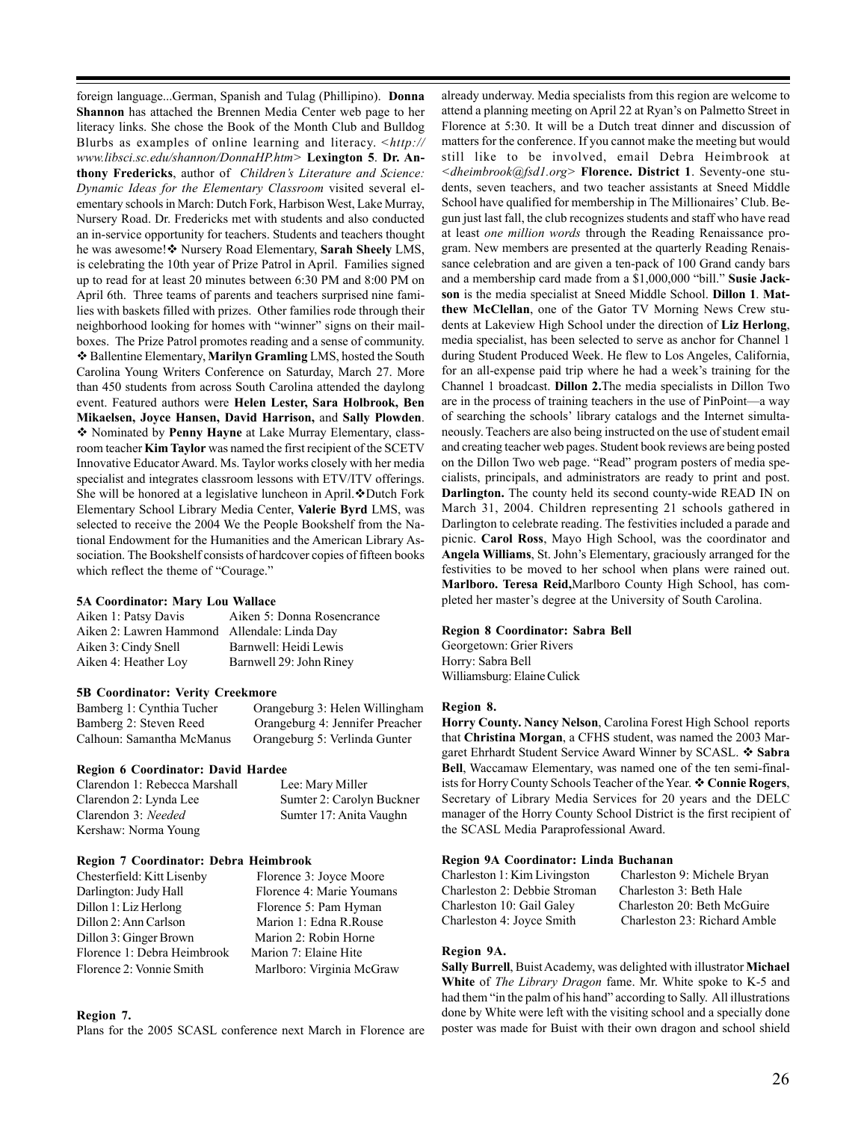foreign language...German, Spanish and Tulag (Phillipino). **Donna Shannon** has attached the Brennen Media Center web page to her literacy links. She chose the Book of the Month Club and Bulldog Blurbs as examples of online learning and literacy. *<http:// www.libsci.sc.edu/shannon/DonnaHP.htm>* **Lexington 5**. **Dr. Anthony Fredericks**, author of *Children's Literature and Science: Dynamic Ideas for the Elementary Classroom* visited several elementary schools in March: Dutch Fork, Harbison West, Lake Murray, Nursery Road. Dr. Fredericks met with students and also conducted an in-service opportunity for teachers. Students and teachers thought he was awesome! Nursery Road Elementary, **Sarah Sheely** LMS, is celebrating the 10th year of Prize Patrol in April. Families signed up to read for at least 20 minutes between 6:30 PM and 8:00 PM on April 6th. Three teams of parents and teachers surprised nine families with baskets filled with prizes. Other families rode through their neighborhood looking for homes with "winner" signs on their mailboxes. The Prize Patrol promotes reading and a sense of community. Ballentine Elementary, **Marilyn Gramling** LMS, hosted the South Carolina Young Writers Conference on Saturday, March 27. More than 450 students from across South Carolina attended the daylong event. Featured authors were **Helen Lester, Sara Holbrook, Ben Mikaelsen, Joyce Hansen, David Harrison,** and **Sally Plowden**. Nominated by **Penny Hayne** at Lake Murray Elementary, classroom teacher **Kim Taylor** was named the first recipient of the SCETV Innovative Educator Award. Ms. Taylor works closely with her media specialist and integrates classroom lessons with ETV/ITV offerings. She will be honored at a legislative luncheon in April.  $\cdot$ Dutch Fork Elementary School Library Media Center, **Valerie Byrd** LMS, was selected to receive the 2004 We the People Bookshelf from the National Endowment for the Humanities and the American Library Association. The Bookshelf consists of hardcover copies of fifteen books which reflect the theme of "Courage."

### **5A Coordinator: Mary Lou Wallace**

| Aiken 1: Patsy Davis                         | Aiken 5: Donna Rosencrance |
|----------------------------------------------|----------------------------|
| Aiken 2: Lawren Hammond Allendale: Linda Day |                            |
| Aiken 3: Cindy Snell                         | Barnwell: Heidi Lewis      |
| Aiken 4: Heather Loy                         | Barnwell 29: John Riney    |

### **5B Coordinator: Verity Creekmore**

Bamberg 1: Cynthia Tucher Orangeburg 3: Helen Willingham Bamberg 2: Steven Reed Orangeburg 4: Jennifer Preacher Calhoun: Samantha McManus Orangeburg 5: Verlinda Gunter

### **Region 6 Coordinator: David Hardee**

Clarendon 1: Rebecca Marshall Lee: Mary Miller Clarendon 2: Lynda Lee Sumter 2: Carolyn Buckner Clarendon 3: *Needed* Sumter 17: Anita Vaughn Kershaw: Norma Young

### **Region 7 Coordinator: Debra Heimbrook**

| Chesterfield: Kitt Lisenby  | Florence 3: Joyce Moore   |
|-----------------------------|---------------------------|
| Darlington: Judy Hall       | Florence 4: Marie Youmans |
| Dillon 1: Liz Herlong       | Florence 5: Pam Hyman     |
| Dillon 2: Ann Carlson       | Marion 1: Edna R.Rouse    |
| Dillon 3: Ginger Brown      | Marion 2: Robin Horne     |
| Florence 1: Debra Heimbrook | Marion 7: Elaine Hite     |
| Florence 2: Vonnie Smith    | Marlboro: Virginia McGraw |

### **Region 7.**

Plans for the 2005 SCASL conference next March in Florence are

already underway. Media specialists from this region are welcome to attend a planning meeting on April 22 at Ryan's on Palmetto Street in Florence at 5:30. It will be a Dutch treat dinner and discussion of matters for the conference. If you cannot make the meeting but would still like to be involved, email Debra Heimbrook at *<dheimbrook@fsd1.org>* **Florence. District 1**. Seventy-one students, seven teachers, and two teacher assistants at Sneed Middle School have qualified for membership in The Millionaires' Club. Begun just last fall, the club recognizes students and staff who have read at least *one million words* through the Reading Renaissance program. New members are presented at the quarterly Reading Renaissance celebration and are given a ten-pack of 100 Grand candy bars and a membership card made from a \$1,000,000 "bill." **Susie Jackson** is the media specialist at Sneed Middle School. **Dillon 1**. **Matthew McClellan**, one of the Gator TV Morning News Crew students at Lakeview High School under the direction of **Liz Herlong**, media specialist, has been selected to serve as anchor for Channel 1 during Student Produced Week. He flew to Los Angeles, California, for an all-expense paid trip where he had a week's training for the Channel 1 broadcast. **Dillon 2.**The media specialists in Dillon Two are in the process of training teachers in the use of PinPoint—a way of searching the schools' library catalogs and the Internet simultaneously. Teachers are also being instructed on the use of student email and creating teacher web pages. Student book reviews are being posted on the Dillon Two web page. "Read" program posters of media specialists, principals, and administrators are ready to print and post. **Darlington.** The county held its second county-wide READ IN on March 31, 2004. Children representing 21 schools gathered in Darlington to celebrate reading. The festivities included a parade and picnic. **Carol Ross**, Mayo High School, was the coordinator and **Angela Williams**, St. John's Elementary, graciously arranged for the festivities to be moved to her school when plans were rained out. **Marlboro. Teresa Reid,**Marlboro County High School, has completed her master's degree at the University of South Carolina.

### **Region 8 Coordinator: Sabra Bell**

Georgetown: Grier Rivers Horry: Sabra Bell Williamsburg: Elaine Culick

### **Region 8.**

**Horry County. Nancy Nelson**, Carolina Forest High School reports that **Christina Morgan**, a CFHS student, was named the 2003 Margaret Ehrhardt Student Service Award Winner by SCASL. **Sabra Bell**, Waccamaw Elementary, was named one of the ten semi-finalists for Horry County Schools Teacher of the Year.  $\triangle$  Connie Rogers, Secretary of Library Media Services for 20 years and the DELC manager of the Horry County School District is the first recipient of the SCASL Media Paraprofessional Award.

### **Region 9A Coordinator: Linda Buchanan**

| Charleston 9: Michele Bryan<br>Charleston 3: Beth Hale |
|--------------------------------------------------------|
| Charleston 20: Beth McGuire                            |
| Charleston 23: Richard Amble                           |
|                                                        |

### **Region 9A.**

**Sally Burrell**, Buist Academy, was delighted with illustrator **Michael White** of *The Library Dragon* fame. Mr. White spoke to K-5 and had them "in the palm of his hand" according to Sally. All illustrations done by White were left with the visiting school and a specially done poster was made for Buist with their own dragon and school shield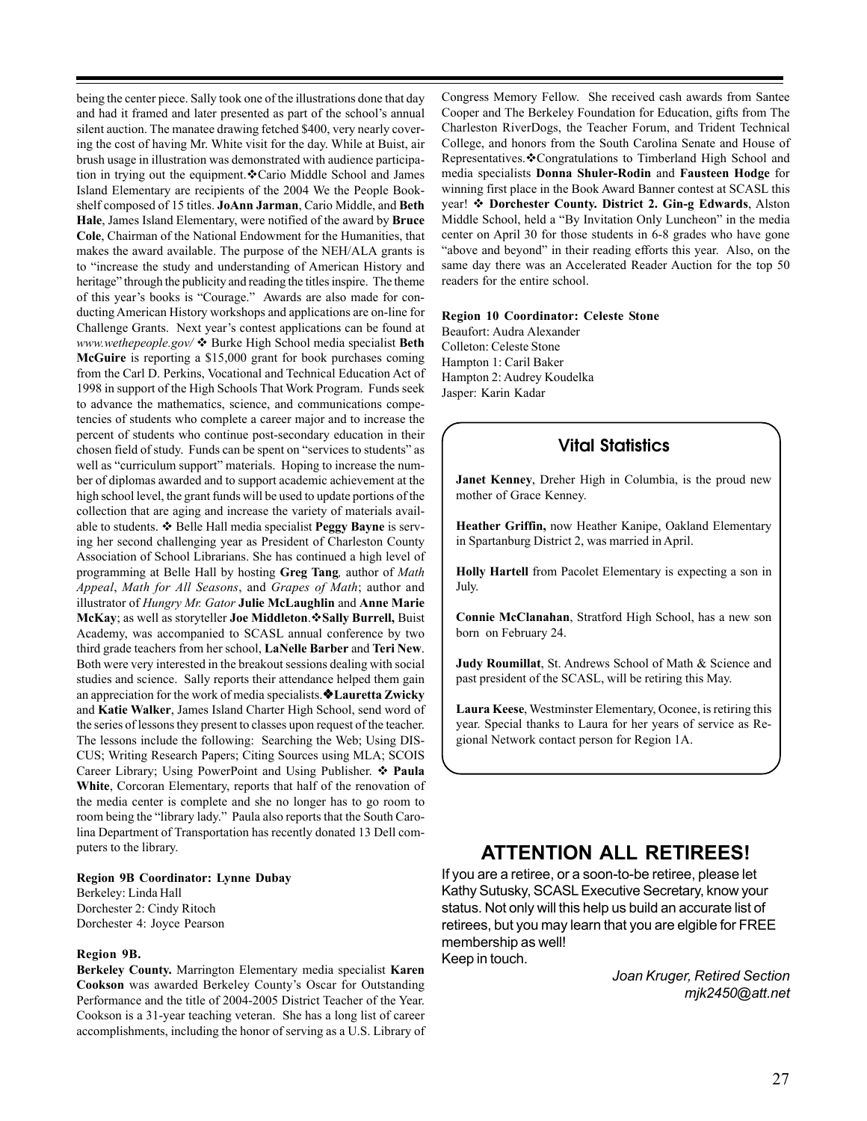being the center piece. Sally took one of the illustrations done that day and had it framed and later presented as part of the school's annual silent auction. The manatee drawing fetched \$400, very nearly covering the cost of having Mr. White visit for the day. While at Buist, air brush usage in illustration was demonstrated with audience participation in trying out the equipment.  $\&$  Cario Middle School and James Island Elementary are recipients of the 2004 We the People Bookshelf composed of 15 titles. **JoAnn Jarman**, Cario Middle, and **Beth Hale**, James Island Elementary, were notified of the award by **Bruce Cole**, Chairman of the National Endowment for the Humanities, that makes the award available. The purpose of the NEH/ALA grants is to "increase the study and understanding of American History and heritage" through the publicity and reading the titles inspire. The theme of this year's books is "Courage." Awards are also made for conducting American History workshops and applications are on-line for Challenge Grants. Next year's contest applications can be found at *www.wethepeople.gov/* ❖ Burke High School media specialist Beth **McGuire** is reporting a \$15,000 grant for book purchases coming from the Carl D. Perkins, Vocational and Technical Education Act of 1998 in support of the High Schools That Work Program. Funds seek to advance the mathematics, science, and communications competencies of students who complete a career major and to increase the percent of students who continue post-secondary education in their chosen field of study. Funds can be spent on "services to students" as well as "curriculum support" materials. Hoping to increase the number of diplomas awarded and to support academic achievement at the high school level, the grant funds will be used to update portions of the collection that are aging and increase the variety of materials available to students.  $\triangleleft$  Belle Hall media specialist **Peggy Bayne** is serving her second challenging year as President of Charleston County Association of School Librarians. She has continued a high level of programming at Belle Hall by hosting **Greg Tang***,* author of *Math Appeal*, *Math for All Seasons*, and *Grapes of Math*; author and illustrator of *Hungry Mr. Gator* **Julie McLaughlin** and **Anne Marie McKay**; as well as storyteller **Joe Middleton**.**Sally Burrell,** Buist Academy, was accompanied to SCASL annual conference by two third grade teachers from her school, **LaNelle Barber** and **Teri New**. Both were very interested in the breakout sessions dealing with social studies and science. Sally reports their attendance helped them gain an appreciation for the work of media specialists. Lauretta Zwicky and **Katie Walker**, James Island Charter High School, send word of the series of lessons they present to classes upon request of the teacher. The lessons include the following: Searching the Web; Using DIS-CUS; Writing Research Papers; Citing Sources using MLA; SCOIS Career Library; Using PowerPoint and Using Publisher. **Paula White**, Corcoran Elementary, reports that half of the renovation of the media center is complete and she no longer has to go room to room being the "library lady." Paula also reports that the South Carolina Department of Transportation has recently donated 13 Dell computers to the library.

### **Region 9B Coordinator: Lynne Dubay**

Berkeley: Linda Hall Dorchester 2: Cindy Ritoch Dorchester 4: Joyce Pearson

#### **Region 9B.**

**Berkeley County.** Marrington Elementary media specialist **Karen Cookson** was awarded Berkeley County's Oscar for Outstanding Performance and the title of 2004-2005 District Teacher of the Year. Cookson is a 31-year teaching veteran. She has a long list of career accomplishments, including the honor of serving as a U.S. Library of

Congress Memory Fellow. She received cash awards from Santee Cooper and The Berkeley Foundation for Education, gifts from The Charleston RiverDogs, the Teacher Forum, and Trident Technical College, and honors from the South Carolina Senate and House of Representatives. Congratulations to Timberland High School and media specialists **Donna Shuler-Rodin** and **Fausteen Hodge** for winning first place in the Book Award Banner contest at SCASL this year!  $\triangleleft$  Dorchester County. District 2. Gin-g Edwards, Alston Middle School, held a "By Invitation Only Luncheon" in the media center on April 30 for those students in 6-8 grades who have gone "above and beyond" in their reading efforts this year. Also, on the same day there was an Accelerated Reader Auction for the top 50 readers for the entire school.

#### **Region 10 Coordinator: Celeste Stone**

Beaufort: Audra Alexander Colleton: Celeste Stone Hampton 1: Caril Baker Hampton 2: Audrey Koudelka Jasper: Karin Kadar

### **Vital Statistics**

**Janet Kenney**, Dreher High in Columbia, is the proud new mother of Grace Kenney.

**Heather Griffin,** now Heather Kanipe, Oakland Elementary in Spartanburg District 2, was married in April.

**Holly Hartell** from Pacolet Elementary is expecting a son in July.

**Connie McClanahan**, Stratford High School, has a new son born on February 24.

**Judy Roumillat**, St. Andrews School of Math & Science and past president of the SCASL, will be retiring this May.

**Laura Keese**, Westminster Elementary, Oconee, is retiring this year. Special thanks to Laura for her years of service as Regional Network contact person for Region 1A.

### **ATTENTION ALL RETIREES!**

If you are a retiree, or a soon-to-be retiree, please let Kathy Sutusky, SCASL Executive Secretary, know your status. Not only will this help us build an accurate list of retirees, but you may learn that you are elgible for FREE membership as well! Keep in touch.

> *Joan Kruger, Retired Section mjk2450@att.net*